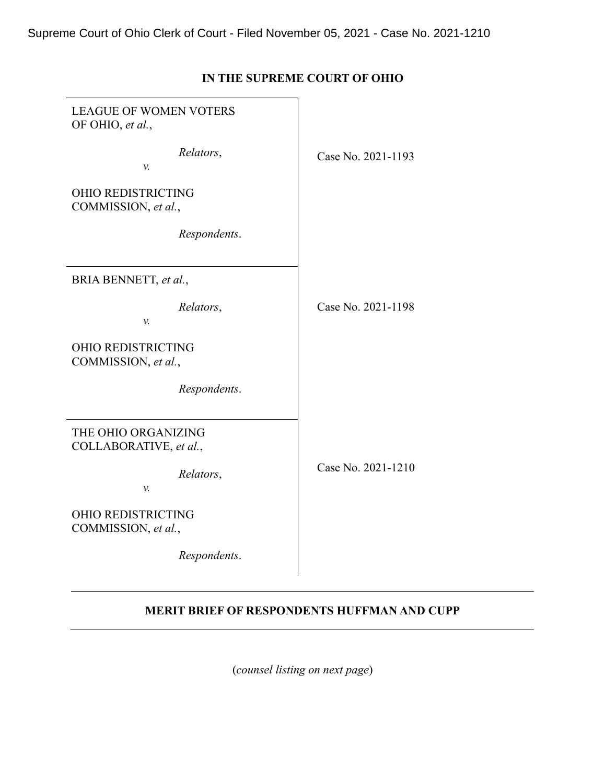| <b>LEAGUE OF WOMEN VOTERS</b><br>OF OHIO, et al., |                    |
|---------------------------------------------------|--------------------|
| Relators,<br>v.                                   | Case No. 2021-1193 |
| <b>OHIO REDISTRICTING</b><br>COMMISSION, et al.,  |                    |
| Respondents.                                      |                    |
| BRIA BENNETT, et al.,                             |                    |
| Relators,<br>v.                                   | Case No. 2021-1198 |
| OHIO REDISTRICTING<br>COMMISSION, et al.,         |                    |
| Respondents.                                      |                    |
| THE OHIO ORGANIZING<br>COLLABORATIVE, et al.,     |                    |
| Relators,<br>v.                                   | Case No. 2021-1210 |
| <b>OHIO REDISTRICTING</b><br>COMMISSION, et al.,  |                    |
| Respondents.                                      |                    |

# **IN THE SUPREME COURT OF OHIO**

# **MERIT BRIEF OF RESPONDENTS HUFFMAN AND CUPP**

(*counsel listing on next page*)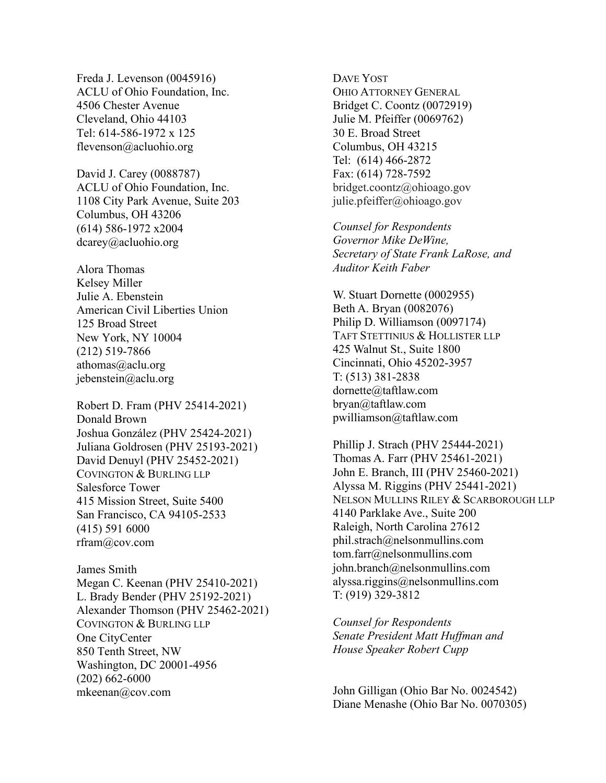Freda J. Levenson (0045916) ACLU of Ohio Foundation, Inc. 4506 Chester Avenue Cleveland, Ohio 44103 Tel: 614-586-1972 x 125 flevenson@acluohio.org

David J. Carey (0088787) ACLU of Ohio Foundation, Inc. 1108 City Park Avenue, Suite 203 Columbus, OH 43206 (614) 586-1972 x2004 dcarey@acluohio.org

Alora Thomas Kelsey Miller Julie A. Ebenstein American Civil Liberties Union 125 Broad Street New York, NY 10004 (212) 519-7866 athomas@aclu.org jebenstein@aclu.org

Robert D. Fram (PHV 25414-2021) Donald Brown Joshua González (PHV 25424-2021) Juliana Goldrosen (PHV 25193-2021) David Denuyl (PHV 25452-2021) COVINGTON & BURLING LLP Salesforce Tower 415 Mission Street, Suite 5400 San Francisco, CA 94105-2533 (415) 591 6000 rfram@cov.com

James Smith Megan C. Keenan (PHV 25410-2021) L. Brady Bender (PHV 25192-2021) Alexander Thomson (PHV 25462-2021) COVINGTON & BURLING LLP One CityCenter 850 Tenth Street, NW Washington, DC 20001-4956 (202) 662-6000 mkeenan@cov.com

DAVE YOST OHIO ATTORNEY GENERAL Bridget C. Coontz (0072919) Julie M. Pfeiffer (0069762) 30 E. Broad Street Columbus, OH 43215 Tel: (614) 466-2872 Fax: (614) 728-7592 bridget.coontz@ohioago.gov julie.pfeiffer@ohioago.gov

*Counsel for Respondents Governor Mike DeWine, Secretary of State Frank LaRose, and Auditor Keith Faber*

W. Stuart Dornette (0002955) Beth A. Bryan (0082076) Philip D. Williamson (0097174) TAFT STETTINIUS & HOLLISTER LLP 425 Walnut St., Suite 1800 Cincinnati, Ohio 45202-3957 T: (513) 381-2838 dornette@taftlaw.com bryan@taftlaw.com pwilliamson@taftlaw.com

Phillip J. Strach (PHV 25444-2021) Thomas A. Farr (PHV 25461-2021) John E. Branch, III (PHV 25460-2021) Alyssa M. Riggins (PHV 25441-2021) NELSON MULLINS RILEY & SCARBOROUGH LLP 4140 Parklake Ave., Suite 200 Raleigh, North Carolina 27612 phil.strach@nelsonmullins.com tom.farr@nelsonmullins.com john.branch@nelsonmullins.com alyssa.riggins@nelsonmullins.com T: (919) 329-3812

*Counsel for Respondents Senate President Matt Huffman and House Speaker Robert Cupp*

John Gilligan (Ohio Bar No. 0024542) Diane Menashe (Ohio Bar No. 0070305)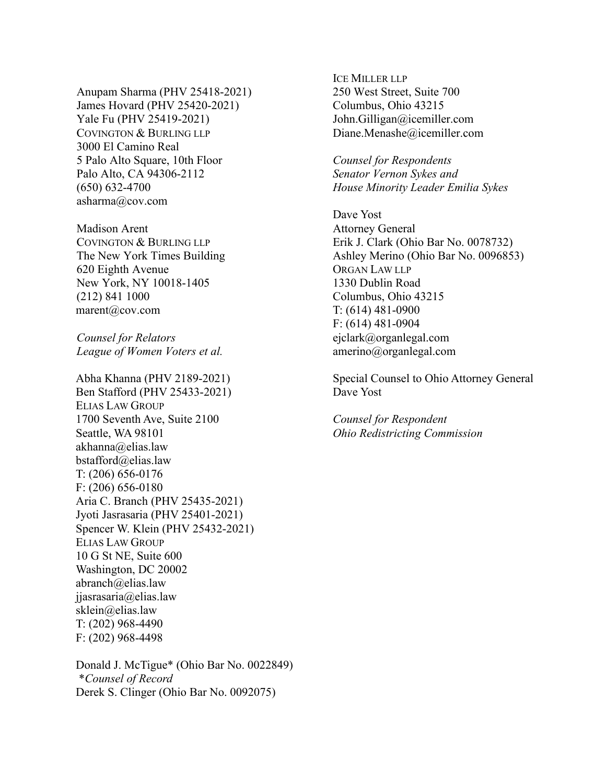Anupam Sharma (PHV 25418-2021) James Hovard (PHV 25420-2021) Yale Fu (PHV 25419-2021) COVINGTON & BURLING LLP 3000 El Camino Real 5 Palo Alto Square, 10th Floor Palo Alto, CA 94306-2112 (650) 632-4700 asharma@cov.com

Madison Arent COVINGTON & BURLING LLP The New York Times Building 620 Eighth Avenue New York, NY 10018-1405 (212) 841 1000 marent@cov.com

*Counsel for Relators League of Women Voters et al.* 

Abha Khanna (PHV 2189-2021) Ben Stafford (PHV 25433-2021) ELIAS LAW GROUP 1700 Seventh Ave, Suite 2100 Seattle, WA 98101 akhanna@elias.law bstafford@elias.law T: (206) 656-0176 F: (206) 656-0180 Aria C. Branch (PHV 25435-2021) Jyoti Jasrasaria (PHV 25401-2021) Spencer W. Klein (PHV 25432-2021) ELIAS LAW GROUP 10 G St NE, Suite 600 Washington, DC 20002 abranch@elias.law jjasrasaria@elias.law sklein@elias.law T: (202) 968-4490 F: (202) 968-4498

Donald J. McTigue\* (Ohio Bar No. 0022849) \**Counsel of Record* Derek S. Clinger (Ohio Bar No. 0092075)

ICE MILLER LLP 250 West Street, Suite 700 Columbus, Ohio 43215 John.Gilligan@icemiller.com Diane.Menashe@icemiller.com

*Counsel for Respondents Senator Vernon Sykes and House Minority Leader Emilia Sykes* 

Dave Yost Attorney General Erik J. Clark (Ohio Bar No. 0078732) Ashley Merino (Ohio Bar No. 0096853) ORGAN LAW LLP 1330 Dublin Road Columbus, Ohio 43215 T: (614) 481-0900 F: (614) 481-0904 ejclark@organlegal.com amerino@organlegal.com

Special Counsel to Ohio Attorney General Dave Yost

*Counsel for Respondent Ohio Redistricting Commission*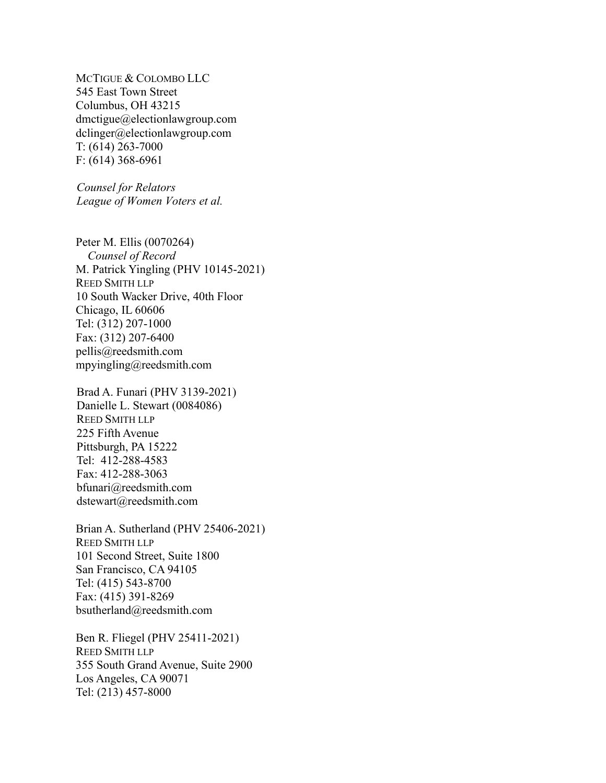MCTIGUE & COLOMBO LLC 545 East Town Street Columbus, OH 43215 dmctigue@electionlawgroup.com dclinger@electionlawgroup.com T: (614) 263-7000 F: (614) 368-6961

*Counsel for Relators League of Women Voters et al.* 

Peter M. Ellis (0070264)  *Counsel of Record* M. Patrick Yingling (PHV 10145-2021) REED SMITH LLP 10 South Wacker Drive, 40th Floor Chicago, IL 60606 Tel: (312) 207-1000 Fax: (312) 207-6400 pellis@reedsmith.com mpyingling@reedsmith.com

Brad A. Funari (PHV 3139-2021) Danielle L. Stewart (0084086) REED SMITH LLP 225 Fifth Avenue Pittsburgh, PA 15222 Tel: 412-288-4583 Fax: 412-288-3063 bfunari@reedsmith.com dstewart@reedsmith.com

Brian A. Sutherland (PHV 25406-2021) REED SMITH LLP 101 Second Street, Suite 1800 San Francisco, CA 94105 Tel: (415) 543-8700 Fax: (415) 391-8269 bsutherland@reedsmith.com

Ben R. Fliegel (PHV 25411-2021) REED SMITH LLP 355 South Grand Avenue, Suite 2900 Los Angeles, CA 90071 Tel: (213) 457-8000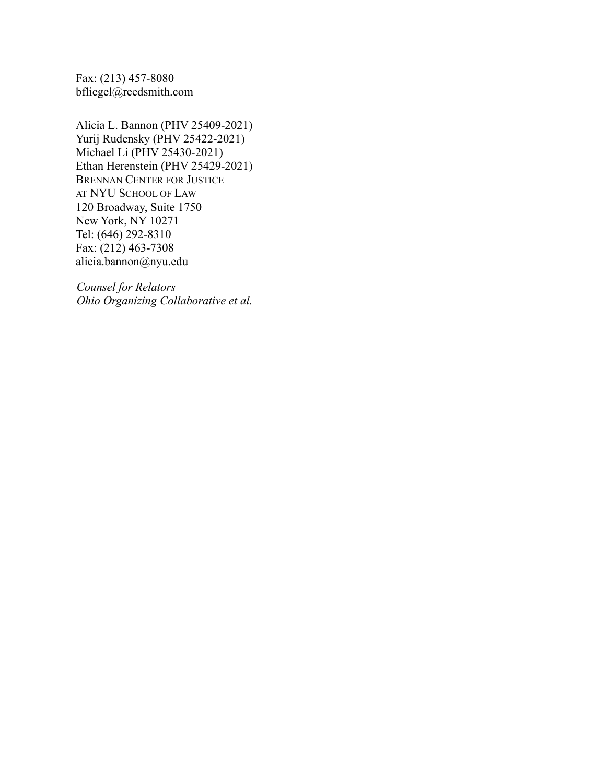Fax: (213) 457-8080 bfliegel@reedsmith.com

Alicia L. Bannon (PHV 25409-2021) Yurij Rudensky (PHV 25422-2021) Michael Li (PHV 25430-2021) Ethan Herenstein (PHV 25429-2021) BRENNAN CENTER FOR JUSTICE AT NYU SCHOOL OF LAW 120 Broadway, Suite 1750 New York, NY 10271 Tel: (646) 292-8310 Fax: (212) 463-7308 alicia.bannon@nyu.edu

*Counsel for Relators Ohio Organizing Collaborative et al.*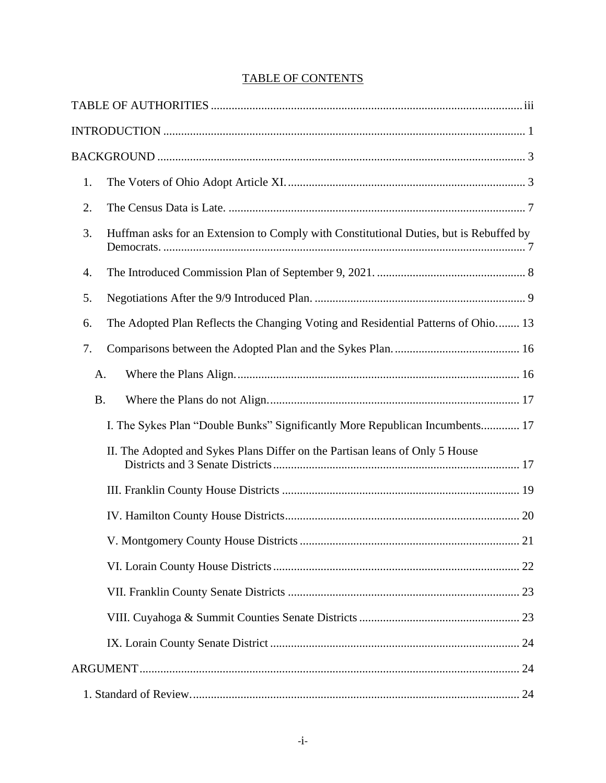# TABLE OF CONTENTS

| 1.        |                                                                                        |
|-----------|----------------------------------------------------------------------------------------|
| 2.        |                                                                                        |
| 3.        | Huffman asks for an Extension to Comply with Constitutional Duties, but is Rebuffed by |
| 4.        |                                                                                        |
| 5.        |                                                                                        |
| 6.        | The Adopted Plan Reflects the Changing Voting and Residential Patterns of Ohio 13      |
| 7.        |                                                                                        |
| A.        |                                                                                        |
| <b>B.</b> |                                                                                        |
|           | I. The Sykes Plan "Double Bunks" Significantly More Republican Incumbents 17           |
|           | II. The Adopted and Sykes Plans Differ on the Partisan leans of Only 5 House           |
|           |                                                                                        |
|           |                                                                                        |
|           |                                                                                        |
|           |                                                                                        |
|           |                                                                                        |
|           |                                                                                        |
|           |                                                                                        |
|           |                                                                                        |
|           |                                                                                        |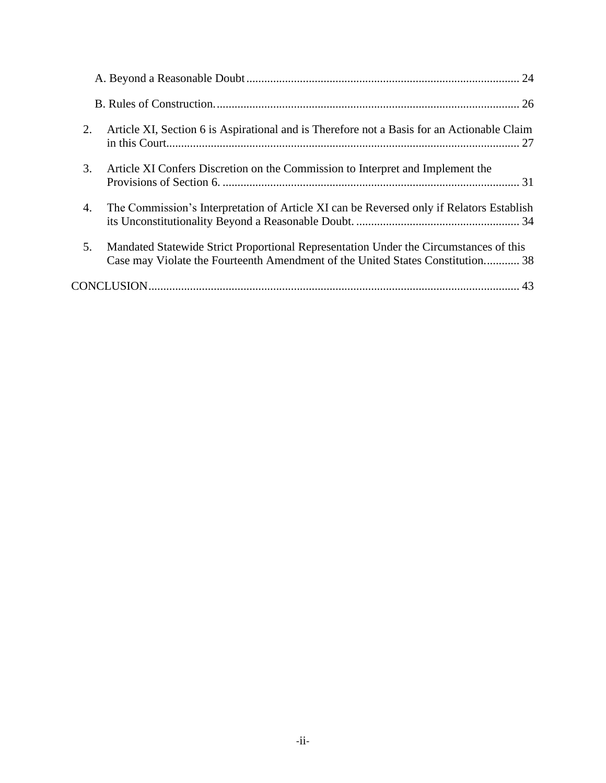| Article XI, Section 6 is Aspirational and is Therefore not a Basis for an Actionable Claim<br>2.                                                                              |
|-------------------------------------------------------------------------------------------------------------------------------------------------------------------------------|
| 3.<br>Article XI Confers Discretion on the Commission to Interpret and Implement the                                                                                          |
| The Commission's Interpretation of Article XI can be Reversed only if Relators Establish<br>4.                                                                                |
| 5.<br>Mandated Statewide Strict Proportional Representation Under the Circumstances of this<br>Case may Violate the Fourteenth Amendment of the United States Constitution 38 |
| 43                                                                                                                                                                            |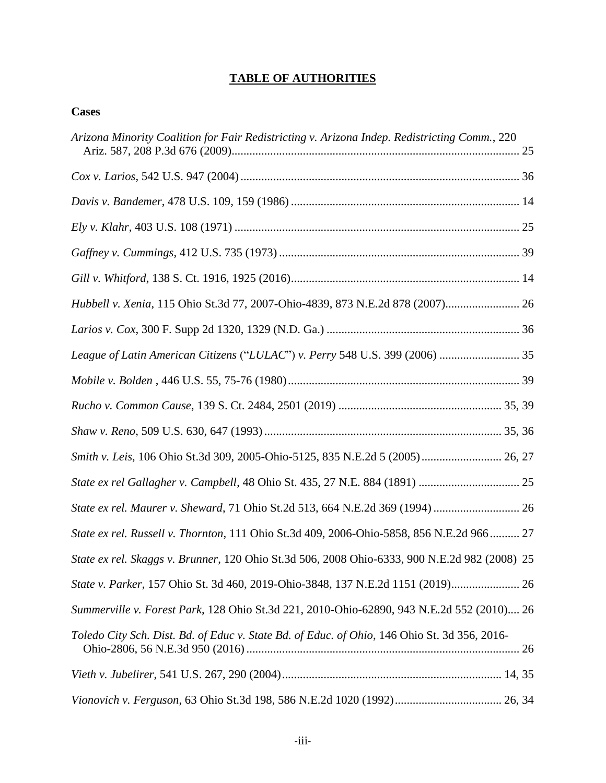# <span id="page-7-0"></span>**TABLE OF AUTHORITIES**

# **Cases**

| Arizona Minority Coalition for Fair Redistricting v. Arizona Indep. Redistricting Comm., 220  |
|-----------------------------------------------------------------------------------------------|
|                                                                                               |
|                                                                                               |
|                                                                                               |
|                                                                                               |
|                                                                                               |
| Hubbell v. Xenia, 115 Ohio St.3d 77, 2007-Ohio-4839, 873 N.E.2d 878 (2007) 26                 |
|                                                                                               |
| League of Latin American Citizens ("LULAC") v. Perry 548 U.S. 399 (2006)  35                  |
|                                                                                               |
|                                                                                               |
|                                                                                               |
| Smith v. Leis, 106 Ohio St.3d 309, 2005-Ohio-5125, 835 N.E.2d 5 (2005) 26, 27                 |
|                                                                                               |
|                                                                                               |
|                                                                                               |
| State ex rel. Russell v. Thornton, 111 Ohio St.3d 409, 2006-Ohio-5858, 856 N.E.2d 966 27      |
| State ex rel. Skaggs v. Brunner, 120 Ohio St.3d 506, 2008 Ohio-6333, 900 N.E.2d 982 (2008) 25 |
| State v. Parker, 157 Ohio St. 3d 460, 2019-Ohio-3848, 137 N.E.2d 1151 (2019)                  |
| Summerville v. Forest Park, 128 Ohio St.3d 221, 2010-Ohio-62890, 943 N.E.2d 552 (2010) 26     |
| Toledo City Sch. Dist. Bd. of Educ v. State Bd. of Educ. of Ohio, 146 Ohio St. 3d 356, 2016-  |
|                                                                                               |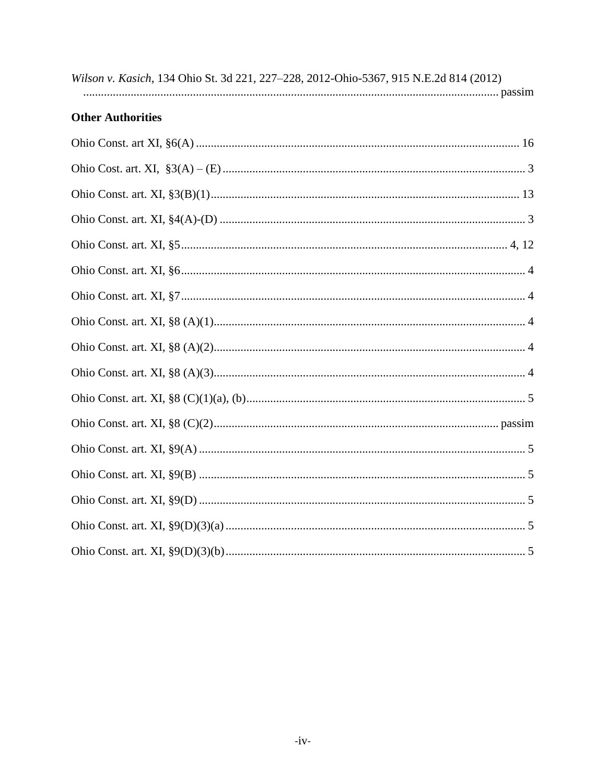|  |  |  | Wilson v. Kasich, 134 Ohio St. 3d 221, 227–228, 2012-Ohio-5367, 915 N.E.2d 814 (2012)                                                                                                                                          |  |
|--|--|--|--------------------------------------------------------------------------------------------------------------------------------------------------------------------------------------------------------------------------------|--|
|  |  |  | a passimilar passimilar and passimilar passimilar passimilar passimilar passimilar passimilar and passimilar to passimilar the passimilar of the passimilar of the passimilar of the passimilar of the passimilar of the passi |  |

# **Other Authorities**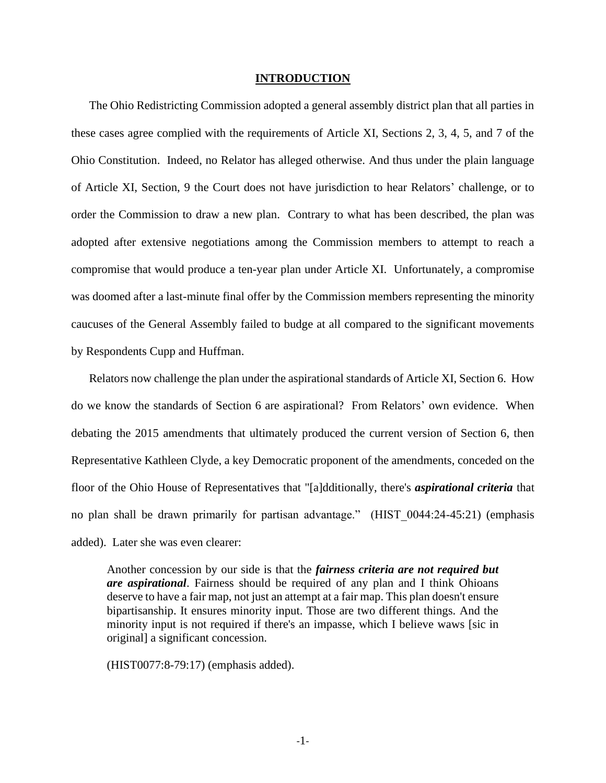#### <span id="page-9-0"></span>**INTRODUCTION**

The Ohio Redistricting Commission adopted a general assembly district plan that all parties in these cases agree complied with the requirements of Article XI, Sections 2, 3, 4, 5, and 7 of the Ohio Constitution. Indeed, no Relator has alleged otherwise. And thus under the plain language of Article XI, Section, 9 the Court does not have jurisdiction to hear Relators' challenge, or to order the Commission to draw a new plan. Contrary to what has been described, the plan was adopted after extensive negotiations among the Commission members to attempt to reach a compromise that would produce a ten-year plan under Article XI. Unfortunately, a compromise was doomed after a last-minute final offer by the Commission members representing the minority caucuses of the General Assembly failed to budge at all compared to the significant movements by Respondents Cupp and Huffman.

Relators now challenge the plan under the aspirational standards of Article XI, Section 6. How do we know the standards of Section 6 are aspirational? From Relators' own evidence. When debating the 2015 amendments that ultimately produced the current version of Section 6, then Representative Kathleen Clyde, a key Democratic proponent of the amendments, conceded on the floor of the Ohio House of Representatives that "[a]dditionally, there's *aspirational criteria* that no plan shall be drawn primarily for partisan advantage." (HIST\_0044:24-45:21) (emphasis added). Later she was even clearer:

Another concession by our side is that the *fairness criteria are not required but are aspirational*. Fairness should be required of any plan and I think Ohioans deserve to have a fair map, not just an attempt at a fair map. This plan doesn't ensure bipartisanship. It ensures minority input. Those are two different things. And the minority input is not required if there's an impasse, which I believe waws [sic in original] a significant concession.

(HIST0077:8-79:17) (emphasis added).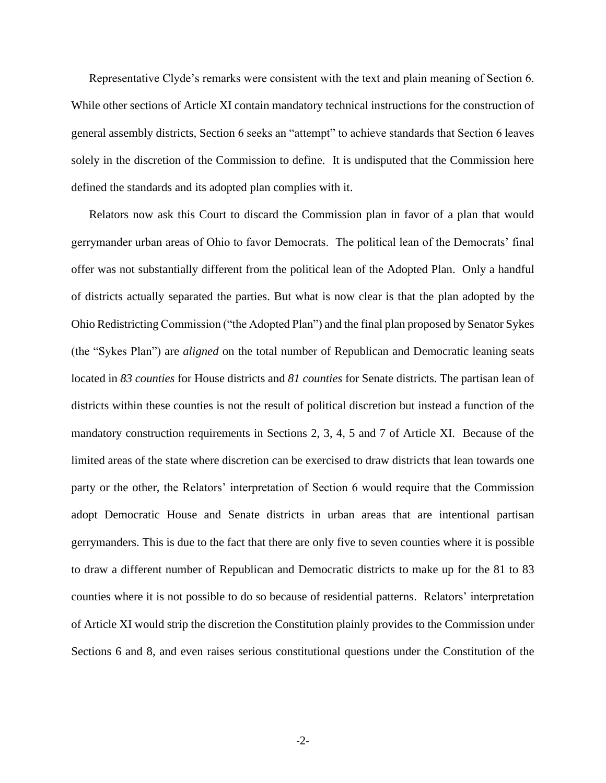Representative Clyde's remarks were consistent with the text and plain meaning of Section 6. While other sections of Article XI contain mandatory technical instructions for the construction of general assembly districts, Section 6 seeks an "attempt" to achieve standards that Section 6 leaves solely in the discretion of the Commission to define. It is undisputed that the Commission here defined the standards and its adopted plan complies with it.

Relators now ask this Court to discard the Commission plan in favor of a plan that would gerrymander urban areas of Ohio to favor Democrats. The political lean of the Democrats' final offer was not substantially different from the political lean of the Adopted Plan. Only a handful of districts actually separated the parties. But what is now clear is that the plan adopted by the Ohio Redistricting Commission ("the Adopted Plan") and the final plan proposed by Senator Sykes (the "Sykes Plan") are *aligned* on the total number of Republican and Democratic leaning seats located in *83 counties* for House districts and *81 counties* for Senate districts. The partisan lean of districts within these counties is not the result of political discretion but instead a function of the mandatory construction requirements in Sections 2, 3, 4, 5 and 7 of Article XI. Because of the limited areas of the state where discretion can be exercised to draw districts that lean towards one party or the other, the Relators' interpretation of Section 6 would require that the Commission adopt Democratic House and Senate districts in urban areas that are intentional partisan gerrymanders. This is due to the fact that there are only five to seven counties where it is possible to draw a different number of Republican and Democratic districts to make up for the 81 to 83 counties where it is not possible to do so because of residential patterns. Relators' interpretation of Article XI would strip the discretion the Constitution plainly provides to the Commission under Sections 6 and 8, and even raises serious constitutional questions under the Constitution of the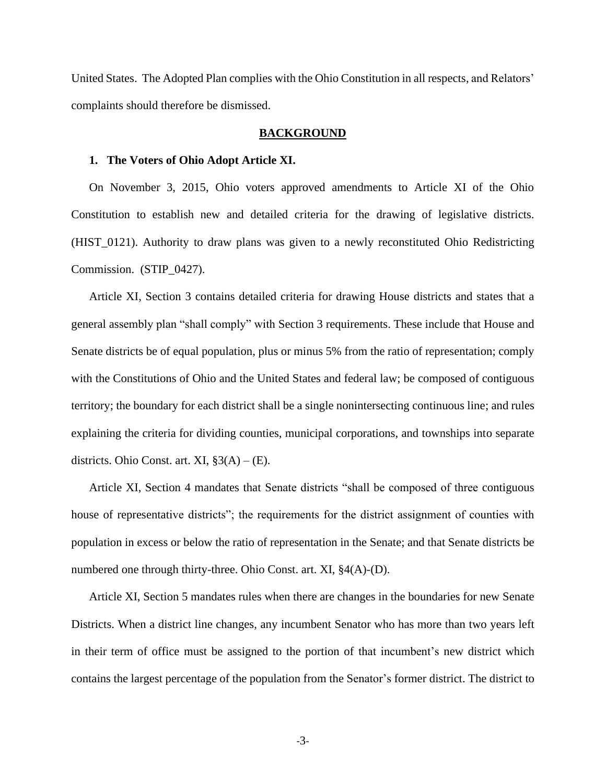United States. The Adopted Plan complies with the Ohio Constitution in all respects, and Relators' complaints should therefore be dismissed.

#### <span id="page-11-1"></span><span id="page-11-0"></span>**BACKGROUND**

## **1. The Voters of Ohio Adopt Article XI.**

On November 3, 2015, Ohio voters approved amendments to Article XI of the Ohio Constitution to establish new and detailed criteria for the drawing of legislative districts. (HIST\_0121). Authority to draw plans was given to a newly reconstituted Ohio Redistricting Commission. (STIP\_0427).

Article XI, Section 3 contains detailed criteria for drawing House districts and states that a general assembly plan "shall comply" with Section 3 requirements. These include that House and Senate districts be of equal population, plus or minus 5% from the ratio of representation; comply with the Constitutions of Ohio and the United States and federal law; be composed of contiguous territory; the boundary for each district shall be a single nonintersecting continuous line; and rules explaining the criteria for dividing counties, municipal corporations, and townships into separate districts. Ohio Const. art. XI,  $\S3(A) - (E)$ .

Article XI, Section 4 mandates that Senate districts "shall be composed of three contiguous house of representative districts"; the requirements for the district assignment of counties with population in excess or below the ratio of representation in the Senate; and that Senate districts be numbered one through thirty-three. Ohio Const. art. XI, §4(A)-(D).

Article XI, Section 5 mandates rules when there are changes in the boundaries for new Senate Districts. When a district line changes, any incumbent Senator who has more than two years left in their term of office must be assigned to the portion of that incumbent's new district which contains the largest percentage of the population from the Senator's former district. The district to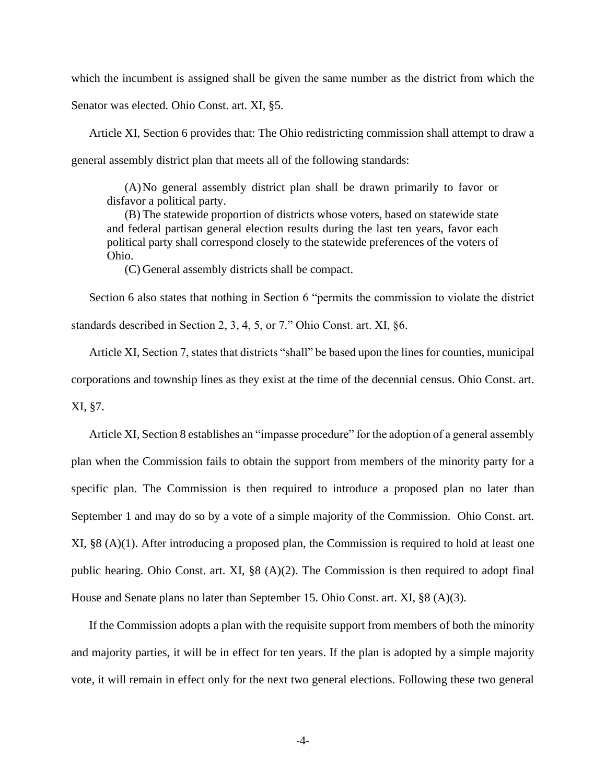which the incumbent is assigned shall be given the same number as the district from which the

Senator was elected. Ohio Const. art. XI, §5.

Article XI, Section 6 provides that: The Ohio redistricting commission shall attempt to draw a general assembly district plan that meets all of the following standards:

(A)No general assembly district plan shall be drawn primarily to favor or disfavor a political party.

(B) The statewide proportion of districts whose voters, based on statewide state and federal partisan general election results during the last ten years, favor each political party shall correspond closely to the statewide preferences of the voters of Ohio.

(C) General assembly districts shall be compact.

Section 6 also states that nothing in Section 6 "permits the commission to violate the district standards described in Section 2, 3, 4, 5, or 7." Ohio Const. art. XI, §6.

Article XI, Section 7, states that districts "shall" be based upon the lines for counties, municipal corporations and township lines as they exist at the time of the decennial census. Ohio Const. art. XI, §7.

Article XI, Section 8 establishes an "impasse procedure" for the adoption of a general assembly plan when the Commission fails to obtain the support from members of the minority party for a specific plan. The Commission is then required to introduce a proposed plan no later than September 1 and may do so by a vote of a simple majority of the Commission. Ohio Const. art. XI, §8 (A)(1). After introducing a proposed plan, the Commission is required to hold at least one public hearing. Ohio Const. art. XI, §8 (A)(2). The Commission is then required to adopt final House and Senate plans no later than September 15. Ohio Const. art. XI, §8 (A)(3).

If the Commission adopts a plan with the requisite support from members of both the minority and majority parties, it will be in effect for ten years. If the plan is adopted by a simple majority vote, it will remain in effect only for the next two general elections. Following these two general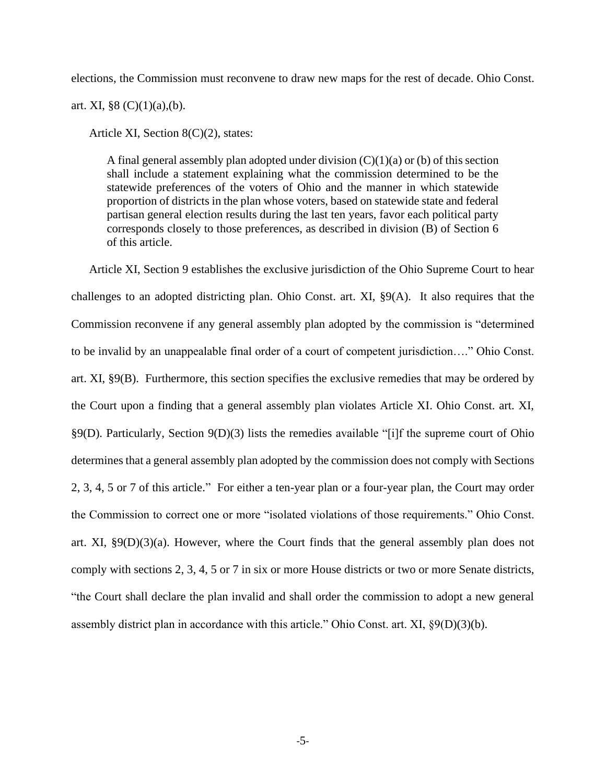elections, the Commission must reconvene to draw new maps for the rest of decade. Ohio Const.

art. XI,  $\S 8 (C)(1)(a)$ , (b).

Article XI, Section 8(C)(2), states:

A final general assembly plan adopted under division  $(C)(1)(a)$  or (b) of this section shall include a statement explaining what the commission determined to be the statewide preferences of the voters of Ohio and the manner in which statewide proportion of districts in the plan whose voters, based on statewide state and federal partisan general election results during the last ten years, favor each political party corresponds closely to those preferences, as described in division (B) of Section 6 of this article.

Article XI, Section 9 establishes the exclusive jurisdiction of the Ohio Supreme Court to hear challenges to an adopted districting plan. Ohio Const. art. XI, §9(A). It also requires that the Commission reconvene if any general assembly plan adopted by the commission is "determined to be invalid by an unappealable final order of a court of competent jurisdiction…." Ohio Const. art. XI, §9(B). Furthermore, this section specifies the exclusive remedies that may be ordered by the Court upon a finding that a general assembly plan violates Article XI. Ohio Const. art. XI, §9(D). Particularly, Section 9(D)(3) lists the remedies available "[i]f the supreme court of Ohio determines that a general assembly plan adopted by the commission does not comply with Sections 2, 3, 4, 5 or 7 of this article." For either a ten-year plan or a four-year plan, the Court may order the Commission to correct one or more "isolated violations of those requirements." Ohio Const. art. XI,  $\S 9(D)(3)(a)$ . However, where the Court finds that the general assembly plan does not comply with sections 2, 3, 4, 5 or 7 in six or more House districts or two or more Senate districts, "the Court shall declare the plan invalid and shall order the commission to adopt a new general assembly district plan in accordance with this article." Ohio Const. art. XI, §9(D)(3)(b).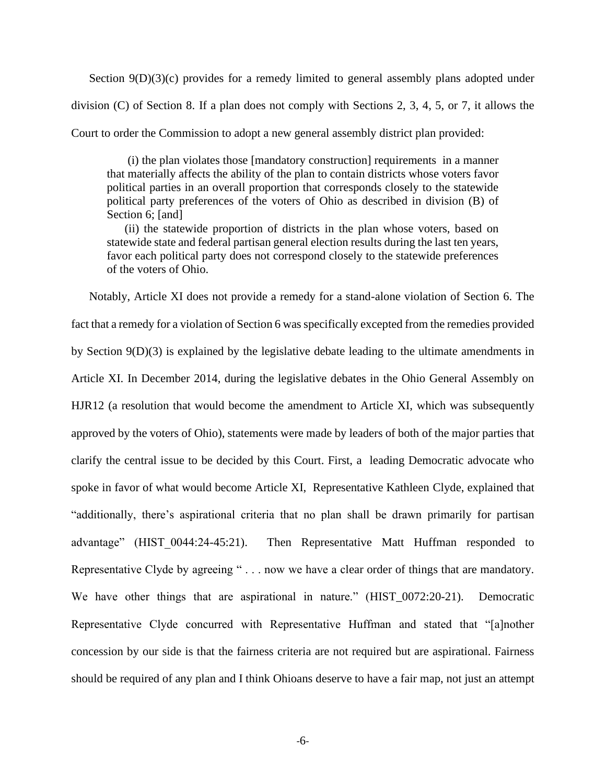Section 9(D)(3)(c) provides for a remedy limited to general assembly plans adopted under division (C) of Section 8. If a plan does not comply with Sections 2, 3, 4, 5, or 7, it allows the Court to order the Commission to adopt a new general assembly district plan provided:

(i) the plan violates those [mandatory construction] requirements in a manner that materially affects the ability of the plan to contain districts whose voters favor political parties in an overall proportion that corresponds closely to the statewide political party preferences of the voters of Ohio as described in division (B) of Section 6; [and]

(ii) the statewide proportion of districts in the plan whose voters, based on statewide state and federal partisan general election results during the last ten years, favor each political party does not correspond closely to the statewide preferences of the voters of Ohio.

Notably, Article XI does not provide a remedy for a stand-alone violation of Section 6. The fact that a remedy for a violation of Section 6 was specifically excepted from the remedies provided by Section 9(D)(3) is explained by the legislative debate leading to the ultimate amendments in Article XI. In December 2014, during the legislative debates in the Ohio General Assembly on HJR12 (a resolution that would become the amendment to Article XI, which was subsequently approved by the voters of Ohio), statements were made by leaders of both of the major parties that clarify the central issue to be decided by this Court. First, a leading Democratic advocate who spoke in favor of what would become Article XI, Representative Kathleen Clyde, explained that "additionally, there's aspirational criteria that no plan shall be drawn primarily for partisan advantage" (HIST 0044:24-45:21). Then Representative Matt Huffman responded to Representative Clyde by agreeing " . . . now we have a clear order of things that are mandatory. We have other things that are aspirational in nature." (HIST\_0072:20-21). Democratic Representative Clyde concurred with Representative Huffman and stated that "[a]nother concession by our side is that the fairness criteria are not required but are aspirational. Fairness should be required of any plan and I think Ohioans deserve to have a fair map, not just an attempt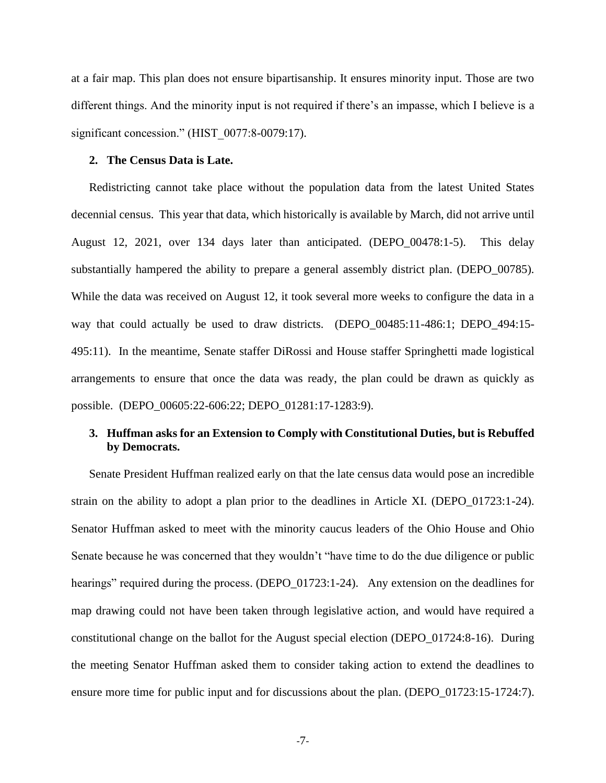at a fair map. This plan does not ensure bipartisanship. It ensures minority input. Those are two different things. And the minority input is not required if there's an impasse, which I believe is a significant concession." (HIST 0077:8-0079:17).

#### <span id="page-15-0"></span>**2. The Census Data is Late.**

Redistricting cannot take place without the population data from the latest United States decennial census. This year that data, which historically is available by March, did not arrive until August 12, 2021, over 134 days later than anticipated. (DEPO\_00478:1-5). This delay substantially hampered the ability to prepare a general assembly district plan. (DEPO\_00785). While the data was received on August 12, it took several more weeks to configure the data in a way that could actually be used to draw districts. (DEPO\_00485:11-486:1; DEPO\_494:15- 495:11). In the meantime, Senate staffer DiRossi and House staffer Springhetti made logistical arrangements to ensure that once the data was ready, the plan could be drawn as quickly as possible. (DEPO\_00605:22-606:22; DEPO\_01281:17-1283:9).

## <span id="page-15-1"></span>**3. Huffman asks for an Extension to Comply with Constitutional Duties, but is Rebuffed by Democrats.**

Senate President Huffman realized early on that the late census data would pose an incredible strain on the ability to adopt a plan prior to the deadlines in Article XI. (DEPO\_01723:1-24). Senator Huffman asked to meet with the minority caucus leaders of the Ohio House and Ohio Senate because he was concerned that they wouldn't "have time to do the due diligence or public hearings" required during the process. (DEPO 01723:1-24). Any extension on the deadlines for map drawing could not have been taken through legislative action, and would have required a constitutional change on the ballot for the August special election (DEPO\_01724:8-16). During the meeting Senator Huffman asked them to consider taking action to extend the deadlines to ensure more time for public input and for discussions about the plan. (DEPO 01723:15-1724:7).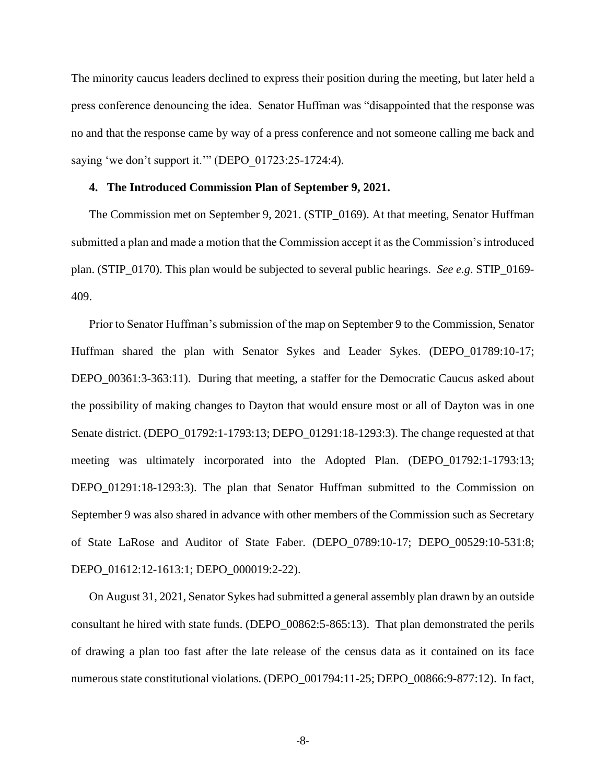The minority caucus leaders declined to express their position during the meeting, but later held a press conference denouncing the idea. Senator Huffman was "disappointed that the response was no and that the response came by way of a press conference and not someone calling me back and saying 'we don't support it."" (DEPO 01723:25-1724:4).

### <span id="page-16-0"></span>**4. The Introduced Commission Plan of September 9, 2021.**

The Commission met on September 9, 2021. (STIP\_0169). At that meeting, Senator Huffman submitted a plan and made a motion that the Commission accept it as the Commission's introduced plan. (STIP\_0170). This plan would be subjected to several public hearings. *See e.g*. STIP\_0169- 409.

Prior to Senator Huffman's submission of the map on September 9 to the Commission, Senator Huffman shared the plan with Senator Sykes and Leader Sykes. (DEPO\_01789:10-17; DEPO\_00361:3-363:11). During that meeting, a staffer for the Democratic Caucus asked about the possibility of making changes to Dayton that would ensure most or all of Dayton was in one Senate district. (DEPO\_01792:1-1793:13; DEPO\_01291:18-1293:3). The change requested at that meeting was ultimately incorporated into the Adopted Plan. (DEPO\_01792:1-1793:13; DEPO\_01291:18-1293:3). The plan that Senator Huffman submitted to the Commission on September 9 was also shared in advance with other members of the Commission such as Secretary of State LaRose and Auditor of State Faber. (DEPO\_0789:10-17; DEPO\_00529:10-531:8; DEPO\_01612:12-1613:1; DEPO\_000019:2-22).

On August 31, 2021, Senator Sykes had submitted a general assembly plan drawn by an outside consultant he hired with state funds. (DEPO\_00862:5-865:13). That plan demonstrated the perils of drawing a plan too fast after the late release of the census data as it contained on its face numerous state constitutional violations. (DEPO\_001794:11-25; DEPO\_00866:9-877:12). In fact,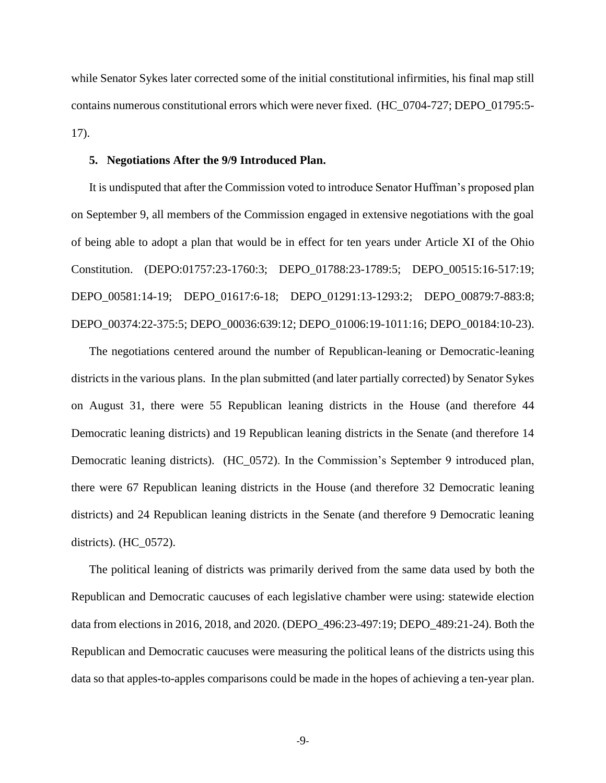while Senator Sykes later corrected some of the initial constitutional infirmities, his final map still contains numerous constitutional errors which were never fixed. (HC\_0704-727; DEPO\_01795:5- 17).

### <span id="page-17-0"></span>**5. Negotiations After the 9/9 Introduced Plan.**

It is undisputed that after the Commission voted to introduce Senator Huffman's proposed plan on September 9, all members of the Commission engaged in extensive negotiations with the goal of being able to adopt a plan that would be in effect for ten years under Article XI of the Ohio Constitution. (DEPO:01757:23-1760:3; DEPO\_01788:23-1789:5; DEPO\_00515:16-517:19; DEPO\_00581:14-19; DEPO\_01617:6-18; DEPO\_01291:13-1293:2; DEPO\_00879:7-883:8; DEPO\_00374:22-375:5; DEPO\_00036:639:12; DEPO\_01006:19-1011:16; DEPO\_00184:10-23).

The negotiations centered around the number of Republican-leaning or Democratic-leaning districts in the various plans. In the plan submitted (and later partially corrected) by Senator Sykes on August 31, there were 55 Republican leaning districts in the House (and therefore 44 Democratic leaning districts) and 19 Republican leaning districts in the Senate (and therefore 14 Democratic leaning districts). (HC\_0572). In the Commission's September 9 introduced plan, there were 67 Republican leaning districts in the House (and therefore 32 Democratic leaning districts) and 24 Republican leaning districts in the Senate (and therefore 9 Democratic leaning districts). (HC\_0572).

The political leaning of districts was primarily derived from the same data used by both the Republican and Democratic caucuses of each legislative chamber were using: statewide election data from elections in 2016, 2018, and 2020. (DEPO\_496:23-497:19; DEPO\_489:21-24). Both the Republican and Democratic caucuses were measuring the political leans of the districts using this data so that apples-to-apples comparisons could be made in the hopes of achieving a ten-year plan.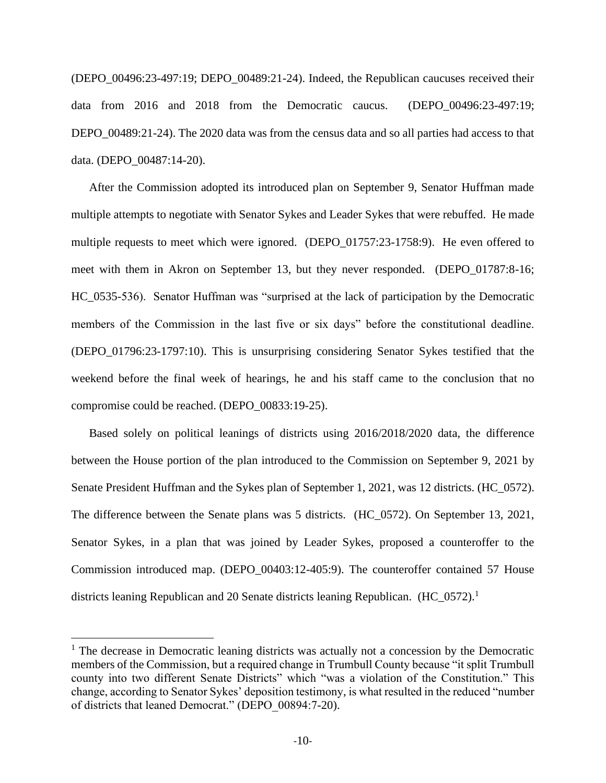(DEPO\_00496:23-497:19; DEPO\_00489:21-24). Indeed, the Republican caucuses received their data from 2016 and 2018 from the Democratic caucus. (DEPO\_00496:23-497:19; DEPO\_00489:21-24). The 2020 data was from the census data and so all parties had access to that data. (DEPO\_00487:14-20).

After the Commission adopted its introduced plan on September 9, Senator Huffman made multiple attempts to negotiate with Senator Sykes and Leader Sykes that were rebuffed. He made multiple requests to meet which were ignored. (DEPO\_01757:23-1758:9). He even offered to meet with them in Akron on September 13, but they never responded. (DEPO\_01787:8-16; HC\_0535-536). Senator Huffman was "surprised at the lack of participation by the Democratic members of the Commission in the last five or six days" before the constitutional deadline. (DEPO\_01796:23-1797:10). This is unsurprising considering Senator Sykes testified that the weekend before the final week of hearings, he and his staff came to the conclusion that no compromise could be reached. (DEPO\_00833:19-25).

Based solely on political leanings of districts using 2016/2018/2020 data, the difference between the House portion of the plan introduced to the Commission on September 9, 2021 by Senate President Huffman and the Sykes plan of September 1, 2021, was 12 districts. (HC\_0572). The difference between the Senate plans was 5 districts. (HC\_0572). On September 13, 2021, Senator Sykes, in a plan that was joined by Leader Sykes, proposed a counteroffer to the Commission introduced map. (DEPO\_00403:12-405:9). The counteroffer contained 57 House districts leaning Republican and 20 Senate districts leaning Republican. (HC\_0572).<sup>1</sup>

<sup>&</sup>lt;sup>1</sup> The decrease in Democratic leaning districts was actually not a concession by the Democratic members of the Commission, but a required change in Trumbull County because "it split Trumbull county into two different Senate Districts" which "was a violation of the Constitution." This change, according to Senator Sykes' deposition testimony, is what resulted in the reduced "number of districts that leaned Democrat." (DEPO\_00894:7-20).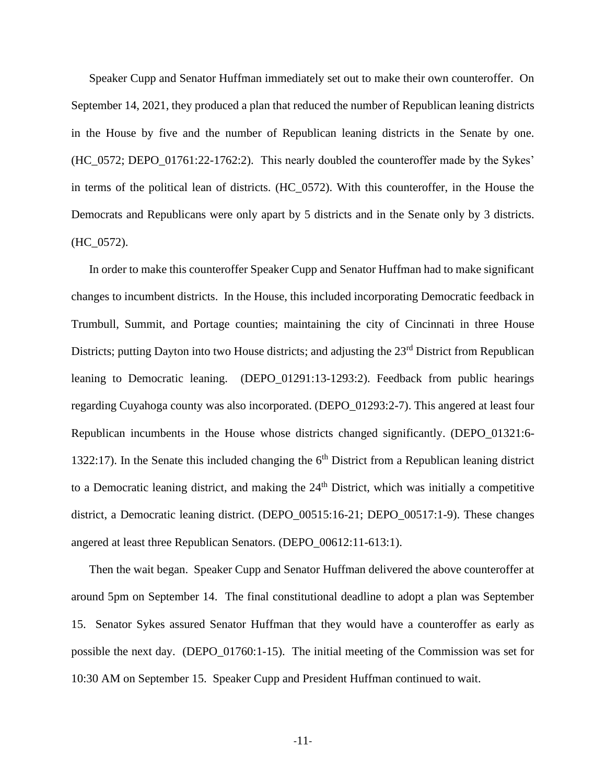Speaker Cupp and Senator Huffman immediately set out to make their own counteroffer. On September 14, 2021, they produced a plan that reduced the number of Republican leaning districts in the House by five and the number of Republican leaning districts in the Senate by one. (HC\_0572; DEPO\_01761:22-1762:2). This nearly doubled the counteroffer made by the Sykes' in terms of the political lean of districts. (HC\_0572). With this counteroffer, in the House the Democrats and Republicans were only apart by 5 districts and in the Senate only by 3 districts.  $(HC_0572)$ .

In order to make this counteroffer Speaker Cupp and Senator Huffman had to make significant changes to incumbent districts. In the House, this included incorporating Democratic feedback in Trumbull, Summit, and Portage counties; maintaining the city of Cincinnati in three House Districts; putting Dayton into two House districts; and adjusting the 23<sup>rd</sup> District from Republican leaning to Democratic leaning. (DEPO\_01291:13-1293:2). Feedback from public hearings regarding Cuyahoga county was also incorporated. (DEPO\_01293:2-7). This angered at least four Republican incumbents in the House whose districts changed significantly. (DEPO\_01321:6- 1322:17). In the Senate this included changing the  $6<sup>th</sup>$  District from a Republican leaning district to a Democratic leaning district, and making the  $24<sup>th</sup>$  District, which was initially a competitive district, a Democratic leaning district. (DEPO\_00515:16-21; DEPO\_00517:1-9). These changes angered at least three Republican Senators. (DEPO\_00612:11-613:1).

Then the wait began. Speaker Cupp and Senator Huffman delivered the above counteroffer at around 5pm on September 14. The final constitutional deadline to adopt a plan was September 15. Senator Sykes assured Senator Huffman that they would have a counteroffer as early as possible the next day. (DEPO\_01760:1-15). The initial meeting of the Commission was set for 10:30 AM on September 15. Speaker Cupp and President Huffman continued to wait.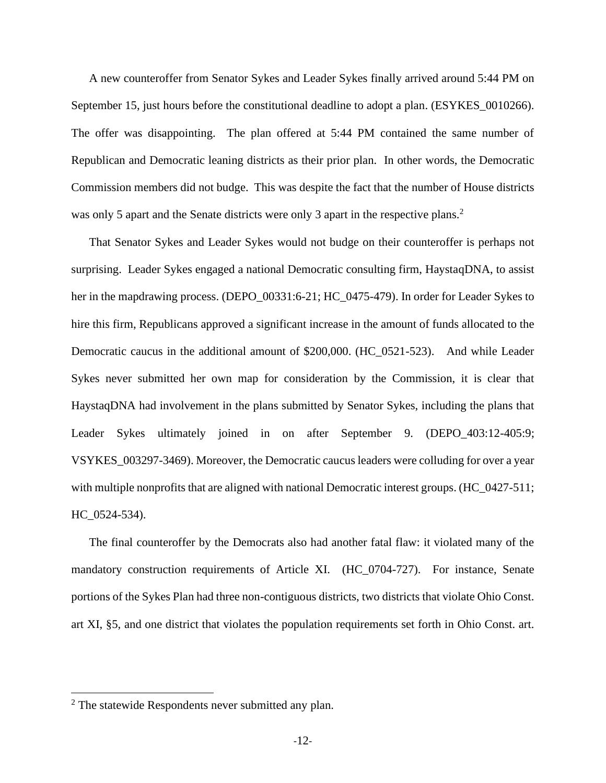A new counteroffer from Senator Sykes and Leader Sykes finally arrived around 5:44 PM on September 15, just hours before the constitutional deadline to adopt a plan. (ESYKES\_0010266). The offer was disappointing. The plan offered at 5:44 PM contained the same number of Republican and Democratic leaning districts as their prior plan. In other words, the Democratic Commission members did not budge. This was despite the fact that the number of House districts was only 5 apart and the Senate districts were only 3 apart in the respective plans.<sup>2</sup>

That Senator Sykes and Leader Sykes would not budge on their counteroffer is perhaps not surprising. Leader Sykes engaged a national Democratic consulting firm, HaystaqDNA, to assist her in the mapdrawing process. (DEPO\_00331:6-21; HC\_0475-479). In order for Leader Sykes to hire this firm, Republicans approved a significant increase in the amount of funds allocated to the Democratic caucus in the additional amount of \$200,000. (HC\_0521-523). And while Leader Sykes never submitted her own map for consideration by the Commission, it is clear that HaystaqDNA had involvement in the plans submitted by Senator Sykes, including the plans that Leader Sykes ultimately joined in on after September 9. (DEPO\_403:12-405:9; VSYKES\_003297-3469). Moreover, the Democratic caucus leaders were colluding for over a year with multiple nonprofits that are aligned with national Democratic interest groups. (HC\_0427-511; HC\_0524-534).

The final counteroffer by the Democrats also had another fatal flaw: it violated many of the mandatory construction requirements of Article XI. (HC\_0704-727). For instance, Senate portions of the Sykes Plan had three non-contiguous districts, two districts that violate Ohio Const. art XI, §5, and one district that violates the population requirements set forth in Ohio Const. art.

<sup>2</sup> The statewide Respondents never submitted any plan.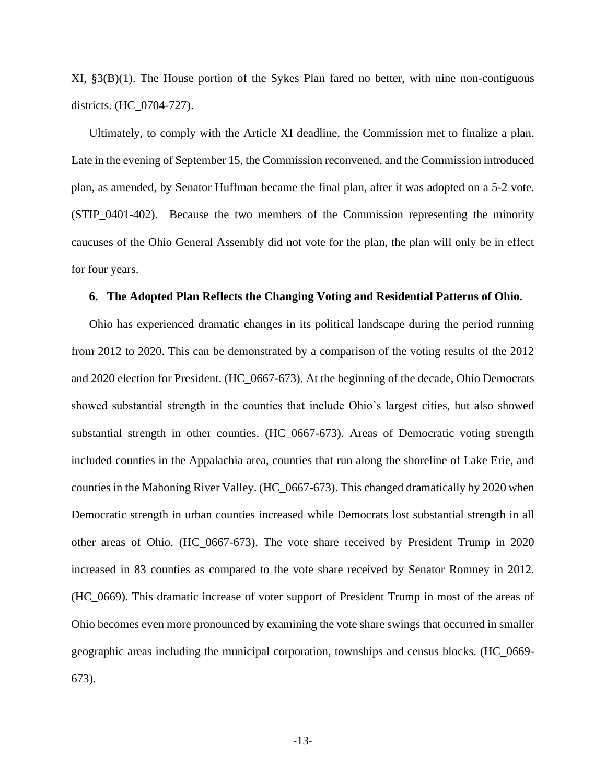XI, §3(B)(1). The House portion of the Sykes Plan fared no better, with nine non-contiguous districts. (HC\_0704-727).

Ultimately, to comply with the Article XI deadline, the Commission met to finalize a plan. Late in the evening of September 15, the Commission reconvened, and the Commission introduced plan, as amended, by Senator Huffman became the final plan, after it was adopted on a 5-2 vote. (STIP\_0401-402). Because the two members of the Commission representing the minority caucuses of the Ohio General Assembly did not vote for the plan, the plan will only be in effect for four years.

#### <span id="page-21-0"></span>**6. The Adopted Plan Reflects the Changing Voting and Residential Patterns of Ohio.**

Ohio has experienced dramatic changes in its political landscape during the period running from 2012 to 2020. This can be demonstrated by a comparison of the voting results of the 2012 and 2020 election for President. (HC\_0667-673). At the beginning of the decade, Ohio Democrats showed substantial strength in the counties that include Ohio's largest cities, but also showed substantial strength in other counties. (HC\_0667-673). Areas of Democratic voting strength included counties in the Appalachia area, counties that run along the shoreline of Lake Erie, and counties in the Mahoning River Valley. (HC\_0667-673). This changed dramatically by 2020 when Democratic strength in urban counties increased while Democrats lost substantial strength in all other areas of Ohio. (HC\_0667-673). The vote share received by President Trump in 2020 increased in 83 counties as compared to the vote share received by Senator Romney in 2012. (HC\_0669). This dramatic increase of voter support of President Trump in most of the areas of Ohio becomes even more pronounced by examining the vote share swings that occurred in smaller geographic areas including the municipal corporation, townships and census blocks. (HC\_0669- 673).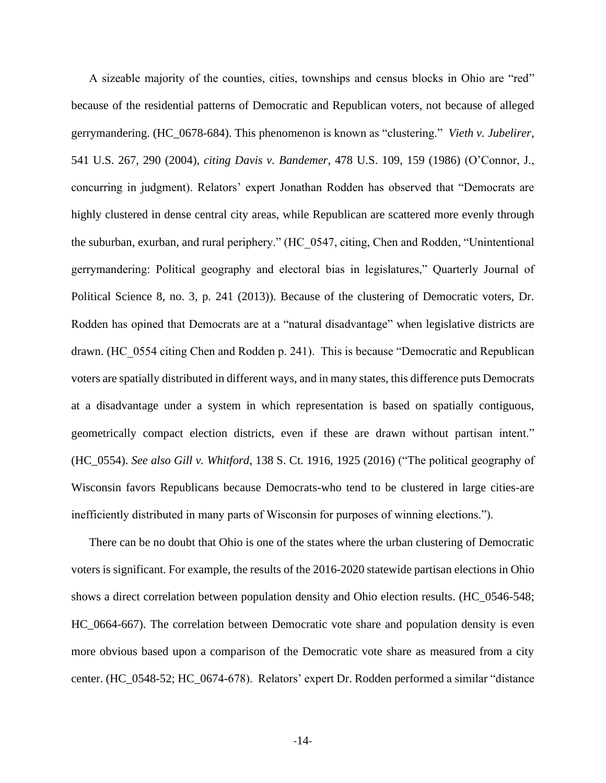A sizeable majority of the counties, cities, townships and census blocks in Ohio are "red" because of the residential patterns of Democratic and Republican voters, not because of alleged gerrymandering. (HC\_0678-684). This phenomenon is known as "clustering." *Vieth v. Jubelirer*, 541 U.S. 267, 290 (2004), *citing Davis v. Bandemer*, 478 U.S. 109, 159 (1986) (O'Connor, J., concurring in judgment). Relators' expert Jonathan Rodden has observed that "Democrats are highly clustered in dense central city areas, while Republican are scattered more evenly through the suburban, exurban, and rural periphery." (HC\_0547, citing, Chen and Rodden, "Unintentional gerrymandering: Political geography and electoral bias in legislatures," Quarterly Journal of Political Science 8, no. 3, p. 241 (2013)). Because of the clustering of Democratic voters, Dr. Rodden has opined that Democrats are at a "natural disadvantage" when legislative districts are drawn. (HC\_0554 citing Chen and Rodden p. 241). This is because "Democratic and Republican voters are spatially distributed in different ways, and in many states, this difference puts Democrats at a disadvantage under a system in which representation is based on spatially contiguous, geometrically compact election districts, even if these are drawn without partisan intent." (HC\_0554). *See also Gill v. Whitford*, 138 S. Ct. 1916, 1925 (2016) ("The political geography of Wisconsin favors Republicans because Democrats-who tend to be clustered in large cities-are inefficiently distributed in many parts of Wisconsin for purposes of winning elections.").

There can be no doubt that Ohio is one of the states where the urban clustering of Democratic voters is significant. For example, the results of the 2016-2020 statewide partisan elections in Ohio shows a direct correlation between population density and Ohio election results. (HC\_0546-548; HC\_0664-667). The correlation between Democratic vote share and population density is even more obvious based upon a comparison of the Democratic vote share as measured from a city center. (HC\_0548-52; HC\_0674-678). Relators' expert Dr. Rodden performed a similar "distance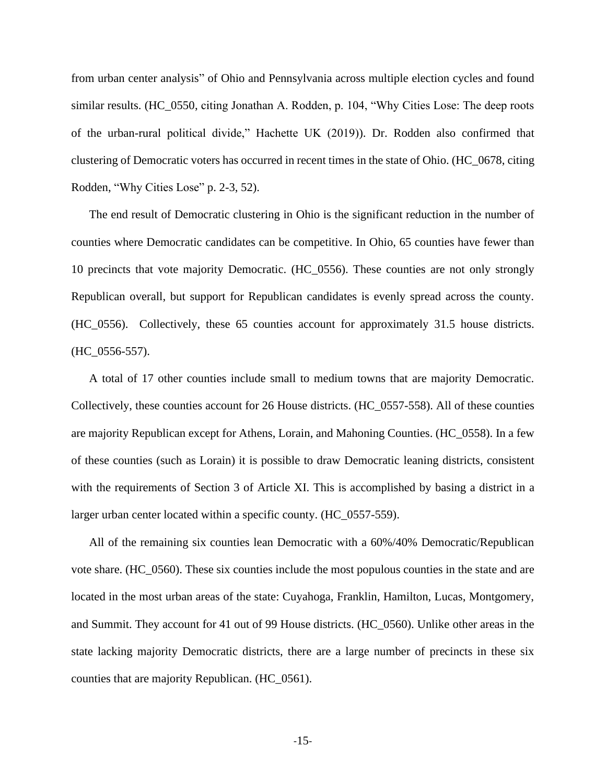from urban center analysis" of Ohio and Pennsylvania across multiple election cycles and found similar results. (HC\_0550, citing Jonathan A. Rodden, p. 104, "Why Cities Lose: The deep roots of the urban-rural political divide," Hachette UK (2019)). Dr. Rodden also confirmed that clustering of Democratic voters has occurred in recent times in the state of Ohio. (HC\_0678, citing Rodden, "Why Cities Lose" p. 2-3, 52).

The end result of Democratic clustering in Ohio is the significant reduction in the number of counties where Democratic candidates can be competitive. In Ohio, 65 counties have fewer than 10 precincts that vote majority Democratic. (HC\_0556). These counties are not only strongly Republican overall, but support for Republican candidates is evenly spread across the county. (HC\_0556). Collectively, these 65 counties account for approximately 31.5 house districts. (HC\_0556-557).

A total of 17 other counties include small to medium towns that are majority Democratic. Collectively, these counties account for 26 House districts. (HC\_0557-558). All of these counties are majority Republican except for Athens, Lorain, and Mahoning Counties. (HC\_0558). In a few of these counties (such as Lorain) it is possible to draw Democratic leaning districts, consistent with the requirements of Section 3 of Article XI. This is accomplished by basing a district in a larger urban center located within a specific county. (HC\_0557-559).

All of the remaining six counties lean Democratic with a 60%/40% Democratic/Republican vote share. (HC\_0560). These six counties include the most populous counties in the state and are located in the most urban areas of the state: Cuyahoga, Franklin, Hamilton, Lucas, Montgomery, and Summit. They account for 41 out of 99 House districts. (HC\_0560). Unlike other areas in the state lacking majority Democratic districts, there are a large number of precincts in these six counties that are majority Republican. (HC\_0561).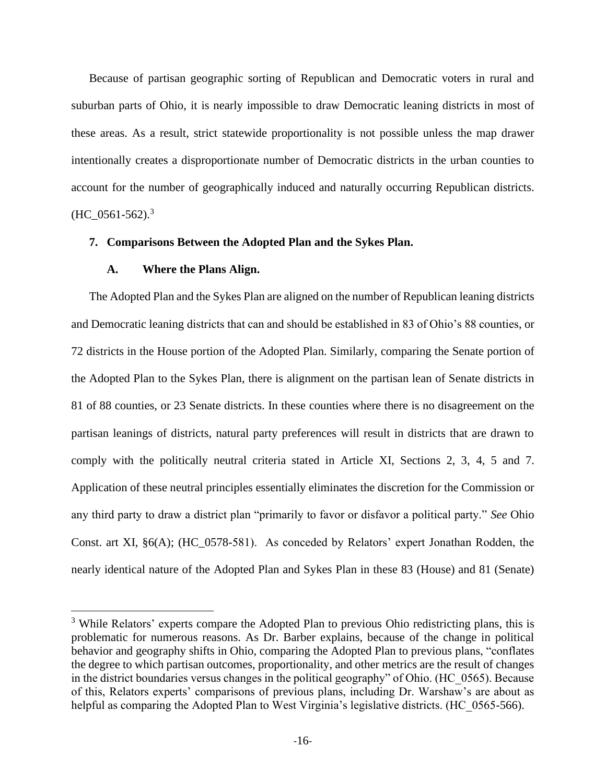Because of partisan geographic sorting of Republican and Democratic voters in rural and suburban parts of Ohio, it is nearly impossible to draw Democratic leaning districts in most of these areas. As a result, strict statewide proportionality is not possible unless the map drawer intentionally creates a disproportionate number of Democratic districts in the urban counties to account for the number of geographically induced and naturally occurring Republican districts. (HC  $0561-562$ ).<sup>3</sup>

## **7. Comparisons Between the Adopted Plan and the Sykes Plan.**

## <span id="page-24-1"></span><span id="page-24-0"></span>**A. Where the Plans Align.**

The Adopted Plan and the Sykes Plan are aligned on the number of Republican leaning districts and Democratic leaning districts that can and should be established in 83 of Ohio's 88 counties, or 72 districts in the House portion of the Adopted Plan. Similarly, comparing the Senate portion of the Adopted Plan to the Sykes Plan, there is alignment on the partisan lean of Senate districts in 81 of 88 counties, or 23 Senate districts. In these counties where there is no disagreement on the partisan leanings of districts, natural party preferences will result in districts that are drawn to comply with the politically neutral criteria stated in Article XI, Sections 2, 3, 4, 5 and 7. Application of these neutral principles essentially eliminates the discretion for the Commission or any third party to draw a district plan "primarily to favor or disfavor a political party." *See* Ohio Const. art XI, §6(A); (HC\_0578-581). As conceded by Relators' expert Jonathan Rodden, the nearly identical nature of the Adopted Plan and Sykes Plan in these 83 (House) and 81 (Senate)

<sup>&</sup>lt;sup>3</sup> While Relators' experts compare the Adopted Plan to previous Ohio redistricting plans, this is problematic for numerous reasons. As Dr. Barber explains, because of the change in political behavior and geography shifts in Ohio, comparing the Adopted Plan to previous plans, "conflates the degree to which partisan outcomes, proportionality, and other metrics are the result of changes in the district boundaries versus changes in the political geography" of Ohio. (HC\_0565). Because of this, Relators experts' comparisons of previous plans, including Dr. Warshaw's are about as helpful as comparing the Adopted Plan to West Virginia's legislative districts. (HC 0565-566).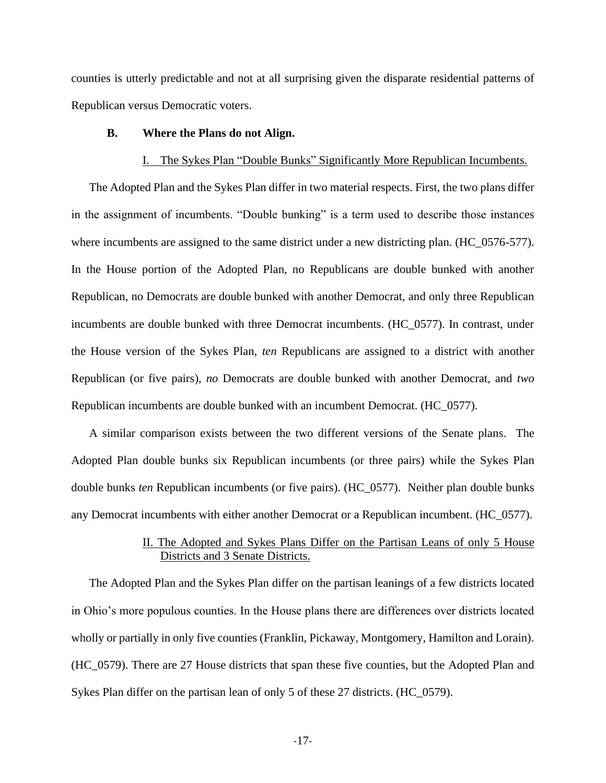counties is utterly predictable and not at all surprising given the disparate residential patterns of Republican versus Democratic voters.

## **B. Where the Plans do not Align.**

### <span id="page-25-1"></span><span id="page-25-0"></span>I. The Sykes Plan "Double Bunks" Significantly More Republican Incumbents.

The Adopted Plan and the Sykes Plan differ in two material respects. First, the two plans differ in the assignment of incumbents. "Double bunking" is a term used to describe those instances where incumbents are assigned to the same district under a new districting plan. (HC\_0576-577). In the House portion of the Adopted Plan, no Republicans are double bunked with another Republican, no Democrats are double bunked with another Democrat, and only three Republican incumbents are double bunked with three Democrat incumbents. (HC\_0577). In contrast, under the House version of the Sykes Plan, *ten* Republicans are assigned to a district with another Republican (or five pairs), *no* Democrats are double bunked with another Democrat, and *two* Republican incumbents are double bunked with an incumbent Democrat. (HC\_0577).

A similar comparison exists between the two different versions of the Senate plans. The Adopted Plan double bunks six Republican incumbents (or three pairs) while the Sykes Plan double bunks *ten* Republican incumbents (or five pairs). (HC\_0577). Neither plan double bunks any Democrat incumbents with either another Democrat or a Republican incumbent. (HC\_0577).

## <span id="page-25-2"></span>II. The Adopted and Sykes Plans Differ on the Partisan Leans of only 5 House Districts and 3 Senate Districts.

The Adopted Plan and the Sykes Plan differ on the partisan leanings of a few districts located in Ohio's more populous counties. In the House plans there are differences over districts located wholly or partially in only five counties (Franklin, Pickaway, Montgomery, Hamilton and Lorain). (HC\_0579). There are 27 House districts that span these five counties, but the Adopted Plan and Sykes Plan differ on the partisan lean of only 5 of these 27 districts. (HC\_0579).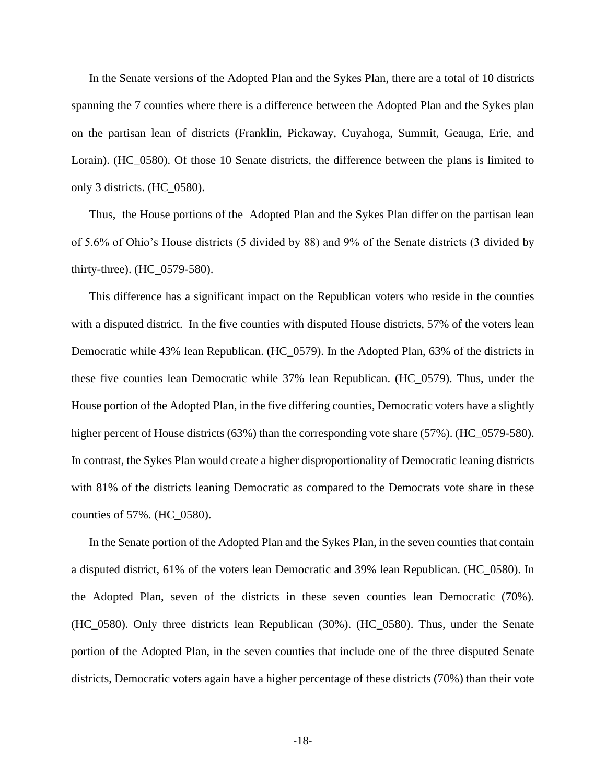In the Senate versions of the Adopted Plan and the Sykes Plan, there are a total of 10 districts spanning the 7 counties where there is a difference between the Adopted Plan and the Sykes plan on the partisan lean of districts (Franklin, Pickaway, Cuyahoga, Summit, Geauga, Erie, and Lorain). (HC\_0580). Of those 10 Senate districts, the difference between the plans is limited to only 3 districts. (HC\_0580).

Thus, the House portions of the Adopted Plan and the Sykes Plan differ on the partisan lean of 5.6% of Ohio's House districts (5 divided by 88) and 9% of the Senate districts (3 divided by thirty-three). (HC\_0579-580).

This difference has a significant impact on the Republican voters who reside in the counties with a disputed district. In the five counties with disputed House districts, 57% of the voters lean Democratic while 43% lean Republican. (HC\_0579). In the Adopted Plan, 63% of the districts in these five counties lean Democratic while 37% lean Republican. (HC\_0579). Thus, under the House portion of the Adopted Plan, in the five differing counties, Democratic voters have a slightly higher percent of House districts (63%) than the corresponding vote share (57%). (HC\_0579-580). In contrast, the Sykes Plan would create a higher disproportionality of Democratic leaning districts with 81% of the districts leaning Democratic as compared to the Democrats vote share in these counties of 57%. (HC\_0580).

In the Senate portion of the Adopted Plan and the Sykes Plan, in the seven counties that contain a disputed district, 61% of the voters lean Democratic and 39% lean Republican. (HC\_0580). In the Adopted Plan, seven of the districts in these seven counties lean Democratic (70%). (HC\_0580). Only three districts lean Republican (30%). (HC\_0580). Thus, under the Senate portion of the Adopted Plan, in the seven counties that include one of the three disputed Senate districts, Democratic voters again have a higher percentage of these districts (70%) than their vote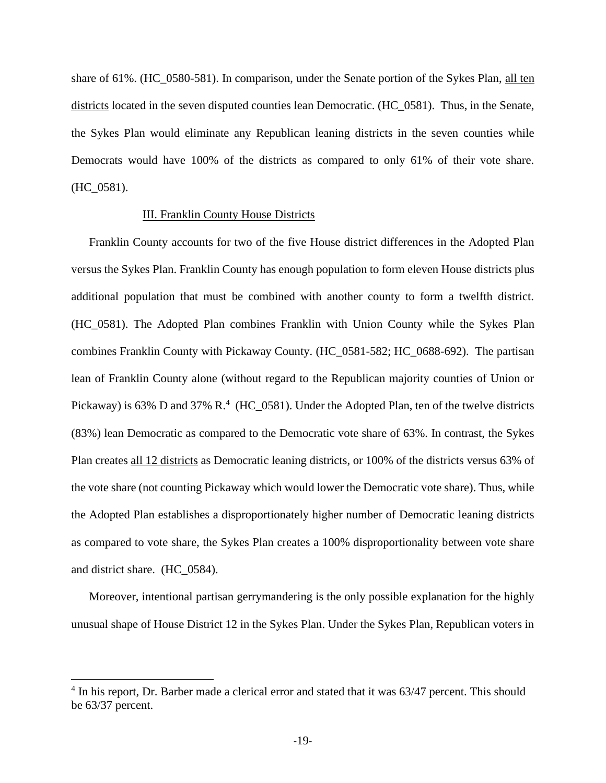share of 61%. (HC\_0580-581). In comparison, under the Senate portion of the Sykes Plan, all ten districts located in the seven disputed counties lean Democratic. (HC\_0581). Thus, in the Senate, the Sykes Plan would eliminate any Republican leaning districts in the seven counties while Democrats would have 100% of the districts as compared to only 61% of their vote share. (HC\_0581).

## <span id="page-27-0"></span>III. Franklin County House Districts

Franklin County accounts for two of the five House district differences in the Adopted Plan versus the Sykes Plan. Franklin County has enough population to form eleven House districts plus additional population that must be combined with another county to form a twelfth district. (HC\_0581). The Adopted Plan combines Franklin with Union County while the Sykes Plan combines Franklin County with Pickaway County. (HC\_0581-582; HC\_0688-692). The partisan lean of Franklin County alone (without regard to the Republican majority counties of Union or Pickaway) is 63% D and 37% R.<sup>4</sup> (HC\_0581). Under the Adopted Plan, ten of the twelve districts (83%) lean Democratic as compared to the Democratic vote share of 63%. In contrast, the Sykes Plan creates all 12 districts as Democratic leaning districts, or 100% of the districts versus 63% of the vote share (not counting Pickaway which would lower the Democratic vote share). Thus, while the Adopted Plan establishes a disproportionately higher number of Democratic leaning districts as compared to vote share, the Sykes Plan creates a 100% disproportionality between vote share and district share. (HC\_0584).

Moreover, intentional partisan gerrymandering is the only possible explanation for the highly unusual shape of House District 12 in the Sykes Plan. Under the Sykes Plan, Republican voters in

<sup>&</sup>lt;sup>4</sup> In his report, Dr. Barber made a clerical error and stated that it was 63/47 percent. This should be 63/37 percent.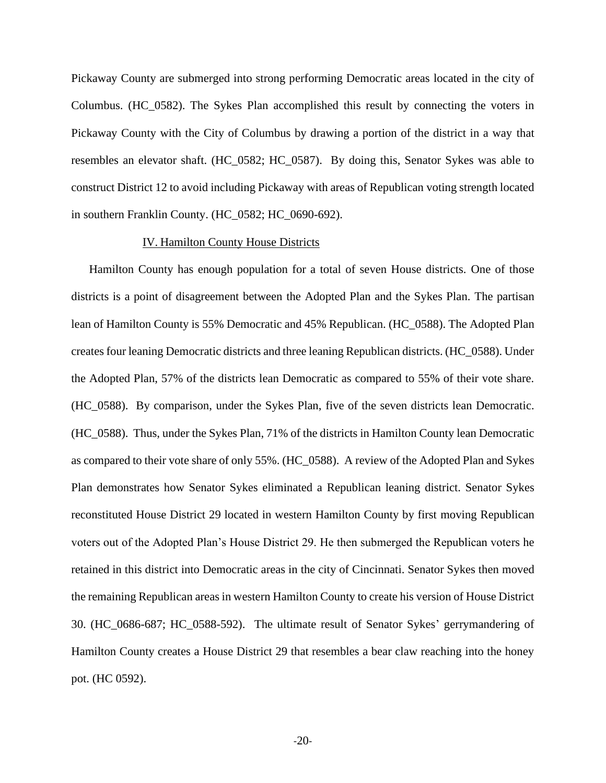Pickaway County are submerged into strong performing Democratic areas located in the city of Columbus. (HC\_0582). The Sykes Plan accomplished this result by connecting the voters in Pickaway County with the City of Columbus by drawing a portion of the district in a way that resembles an elevator shaft. (HC\_0582; HC\_0587). By doing this, Senator Sykes was able to construct District 12 to avoid including Pickaway with areas of Republican voting strength located in southern Franklin County. (HC\_0582; HC\_0690-692).

### <span id="page-28-0"></span>IV. Hamilton County House Districts

Hamilton County has enough population for a total of seven House districts. One of those districts is a point of disagreement between the Adopted Plan and the Sykes Plan. The partisan lean of Hamilton County is 55% Democratic and 45% Republican. (HC\_0588). The Adopted Plan creates four leaning Democratic districts and three leaning Republican districts. (HC\_0588). Under the Adopted Plan, 57% of the districts lean Democratic as compared to 55% of their vote share. (HC\_0588). By comparison, under the Sykes Plan, five of the seven districts lean Democratic. (HC\_0588). Thus, under the Sykes Plan, 71% of the districts in Hamilton County lean Democratic as compared to their vote share of only 55%. (HC\_0588). A review of the Adopted Plan and Sykes Plan demonstrates how Senator Sykes eliminated a Republican leaning district. Senator Sykes reconstituted House District 29 located in western Hamilton County by first moving Republican voters out of the Adopted Plan's House District 29. He then submerged the Republican voters he retained in this district into Democratic areas in the city of Cincinnati. Senator Sykes then moved the remaining Republican areas in western Hamilton County to create his version of House District 30. (HC\_0686-687; HC\_0588-592). The ultimate result of Senator Sykes' gerrymandering of Hamilton County creates a House District 29 that resembles a bear claw reaching into the honey pot. (HC 0592).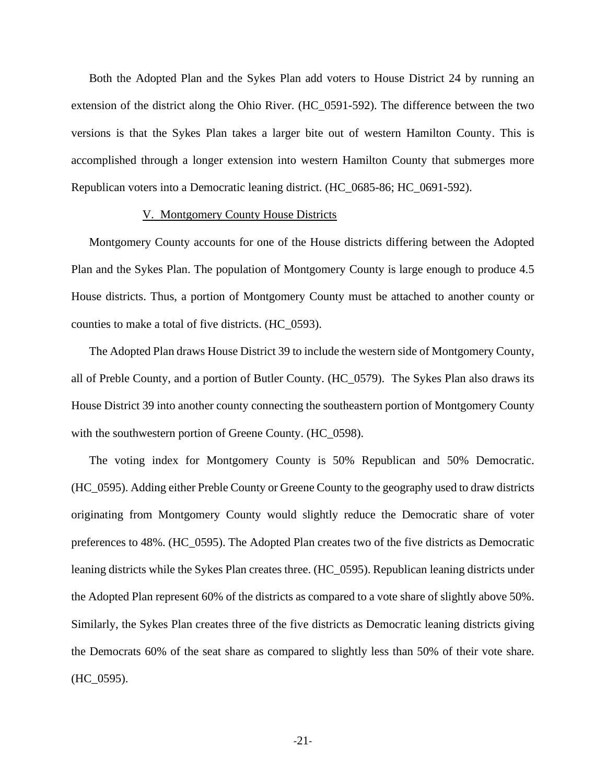Both the Adopted Plan and the Sykes Plan add voters to House District 24 by running an extension of the district along the Ohio River. (HC\_0591-592). The difference between the two versions is that the Sykes Plan takes a larger bite out of western Hamilton County. This is accomplished through a longer extension into western Hamilton County that submerges more Republican voters into a Democratic leaning district. (HC\_0685-86; HC\_0691-592).

## <span id="page-29-0"></span>V. Montgomery County House Districts

Montgomery County accounts for one of the House districts differing between the Adopted Plan and the Sykes Plan. The population of Montgomery County is large enough to produce 4.5 House districts. Thus, a portion of Montgomery County must be attached to another county or counties to make a total of five districts. (HC\_0593).

The Adopted Plan draws House District 39 to include the western side of Montgomery County, all of Preble County, and a portion of Butler County. (HC\_0579). The Sykes Plan also draws its House District 39 into another county connecting the southeastern portion of Montgomery County with the southwestern portion of Greene County. (HC\_0598).

The voting index for Montgomery County is 50% Republican and 50% Democratic. (HC\_0595). Adding either Preble County or Greene County to the geography used to draw districts originating from Montgomery County would slightly reduce the Democratic share of voter preferences to 48%. (HC\_0595). The Adopted Plan creates two of the five districts as Democratic leaning districts while the Sykes Plan creates three. (HC\_0595). Republican leaning districts under the Adopted Plan represent 60% of the districts as compared to a vote share of slightly above 50%. Similarly, the Sykes Plan creates three of the five districts as Democratic leaning districts giving the Democrats 60% of the seat share as compared to slightly less than 50% of their vote share. (HC\_0595).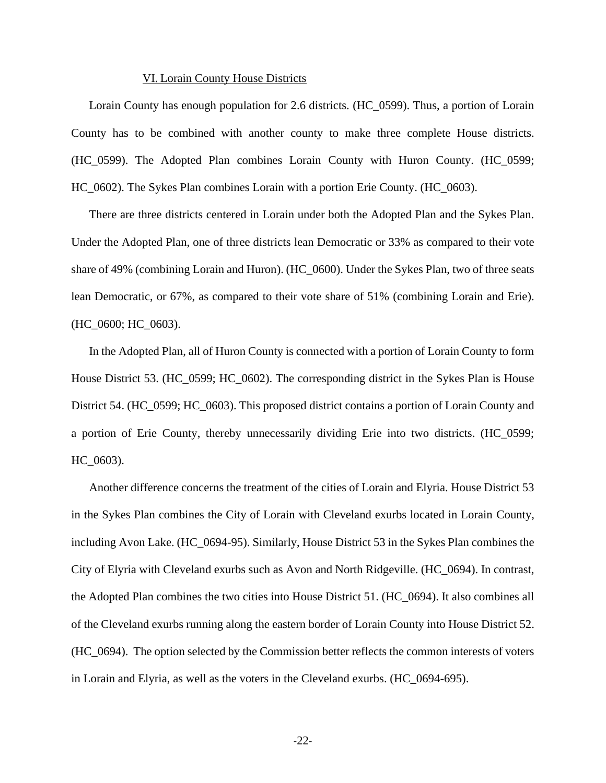#### <span id="page-30-0"></span>VI. Lorain County House Districts

Lorain County has enough population for 2.6 districts. (HC\_0599). Thus, a portion of Lorain County has to be combined with another county to make three complete House districts. (HC\_0599). The Adopted Plan combines Lorain County with Huron County. (HC\_0599; HC\_0602). The Sykes Plan combines Lorain with a portion Erie County. (HC\_0603).

There are three districts centered in Lorain under both the Adopted Plan and the Sykes Plan. Under the Adopted Plan, one of three districts lean Democratic or 33% as compared to their vote share of 49% (combining Lorain and Huron). (HC\_0600). Under the Sykes Plan, two of three seats lean Democratic, or 67%, as compared to their vote share of 51% (combining Lorain and Erie). (HC\_0600; HC\_0603).

In the Adopted Plan, all of Huron County is connected with a portion of Lorain County to form House District 53. (HC\_0599; HC\_0602). The corresponding district in the Sykes Plan is House District 54. (HC\_0599; HC\_0603). This proposed district contains a portion of Lorain County and a portion of Erie County, thereby unnecessarily dividing Erie into two districts. (HC\_0599; HC\_0603).

Another difference concerns the treatment of the cities of Lorain and Elyria. House District 53 in the Sykes Plan combines the City of Lorain with Cleveland exurbs located in Lorain County, including Avon Lake. (HC\_0694-95). Similarly, House District 53 in the Sykes Plan combines the City of Elyria with Cleveland exurbs such as Avon and North Ridgeville. (HC\_0694). In contrast, the Adopted Plan combines the two cities into House District 51. (HC\_0694). It also combines all of the Cleveland exurbs running along the eastern border of Lorain County into House District 52. (HC\_0694). The option selected by the Commission better reflects the common interests of voters in Lorain and Elyria, as well as the voters in the Cleveland exurbs. (HC\_0694-695).

-22-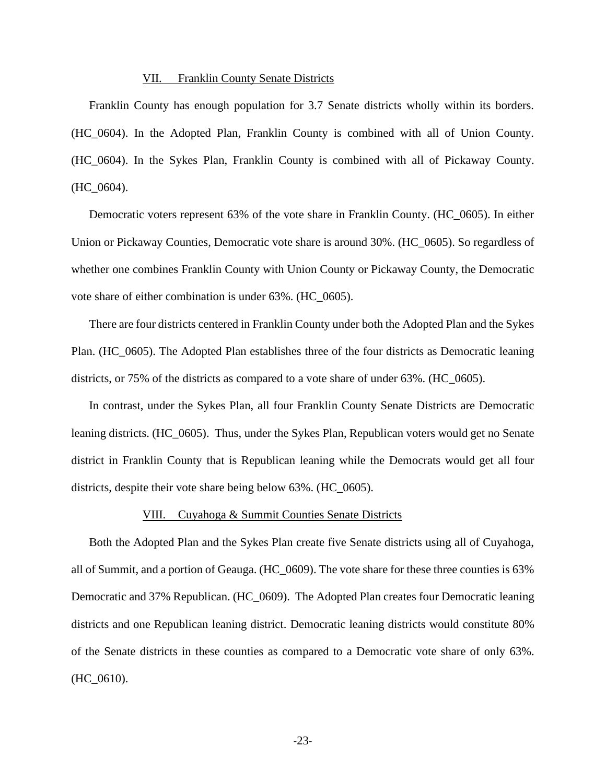#### VII. Franklin County Senate Districts

<span id="page-31-0"></span>Franklin County has enough population for 3.7 Senate districts wholly within its borders. (HC\_0604). In the Adopted Plan, Franklin County is combined with all of Union County. (HC\_0604). In the Sykes Plan, Franklin County is combined with all of Pickaway County.  $(HC_0604).$ 

Democratic voters represent 63% of the vote share in Franklin County. (HC\_0605). In either Union or Pickaway Counties, Democratic vote share is around 30%. (HC\_0605). So regardless of whether one combines Franklin County with Union County or Pickaway County, the Democratic vote share of either combination is under 63%. (HC\_0605).

There are four districts centered in Franklin County under both the Adopted Plan and the Sykes Plan. (HC\_0605). The Adopted Plan establishes three of the four districts as Democratic leaning districts, or 75% of the districts as compared to a vote share of under 63%. (HC\_0605).

In contrast, under the Sykes Plan, all four Franklin County Senate Districts are Democratic leaning districts. (HC\_0605). Thus, under the Sykes Plan, Republican voters would get no Senate district in Franklin County that is Republican leaning while the Democrats would get all four districts, despite their vote share being below 63%. (HC\_0605).

#### <span id="page-31-1"></span>VIII. Cuyahoga & Summit Counties Senate Districts

Both the Adopted Plan and the Sykes Plan create five Senate districts using all of Cuyahoga, all of Summit, and a portion of Geauga. (HC\_0609). The vote share for these three counties is 63% Democratic and 37% Republican. (HC\_0609). The Adopted Plan creates four Democratic leaning districts and one Republican leaning district. Democratic leaning districts would constitute 80% of the Senate districts in these counties as compared to a Democratic vote share of only 63%. (HC\_0610).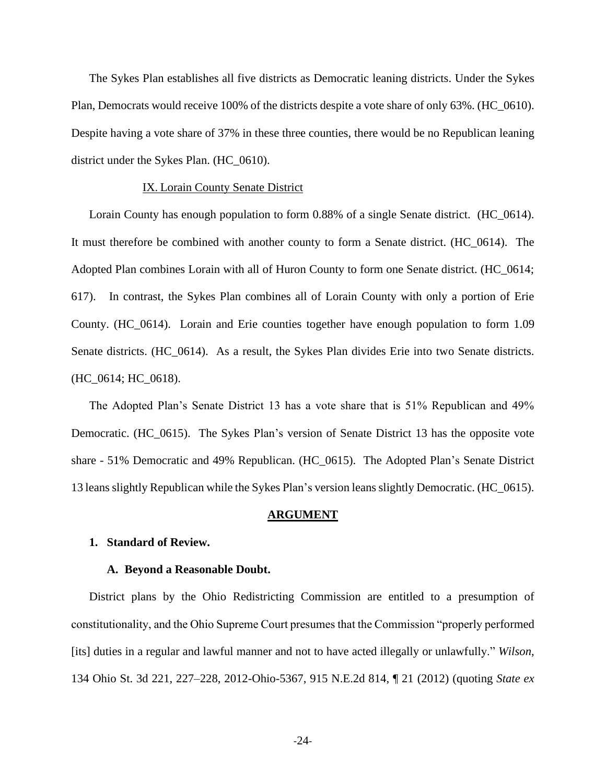The Sykes Plan establishes all five districts as Democratic leaning districts. Under the Sykes Plan, Democrats would receive 100% of the districts despite a vote share of only 63%. (HC\_0610). Despite having a vote share of 37% in these three counties, there would be no Republican leaning district under the Sykes Plan. (HC\_0610).

#### <span id="page-32-0"></span>IX. Lorain County Senate District

Lorain County has enough population to form 0.88% of a single Senate district. (HC\_0614). It must therefore be combined with another county to form a Senate district. (HC\_0614). The Adopted Plan combines Lorain with all of Huron County to form one Senate district. (HC\_0614; 617). In contrast, the Sykes Plan combines all of Lorain County with only a portion of Erie County. (HC\_0614). Lorain and Erie counties together have enough population to form 1.09 Senate districts. (HC\_0614). As a result, the Sykes Plan divides Erie into two Senate districts. (HC\_0614; HC\_0618).

The Adopted Plan's Senate District 13 has a vote share that is 51% Republican and 49% Democratic. (HC\_0615). The Sykes Plan's version of Senate District 13 has the opposite vote share - 51% Democratic and 49% Republican. (HC\_0615). The Adopted Plan's Senate District 13 leans slightly Republican while the Sykes Plan's version leans slightly Democratic. (HC\_0615).

#### <span id="page-32-3"></span><span id="page-32-2"></span><span id="page-32-1"></span>**ARGUMENT**

#### **1. Standard of Review.**

#### **A. Beyond a Reasonable Doubt.**

District plans by the Ohio Redistricting Commission are entitled to a presumption of constitutionality, and the Ohio Supreme Court presumes that the Commission "properly performed [its] duties in a regular and lawful manner and not to have acted illegally or unlawfully." *Wilson*, 134 Ohio St. 3d 221, 227–228, 2012-Ohio-5367, 915 N.E.2d 814, ¶ 21 (2012) (quoting *State ex*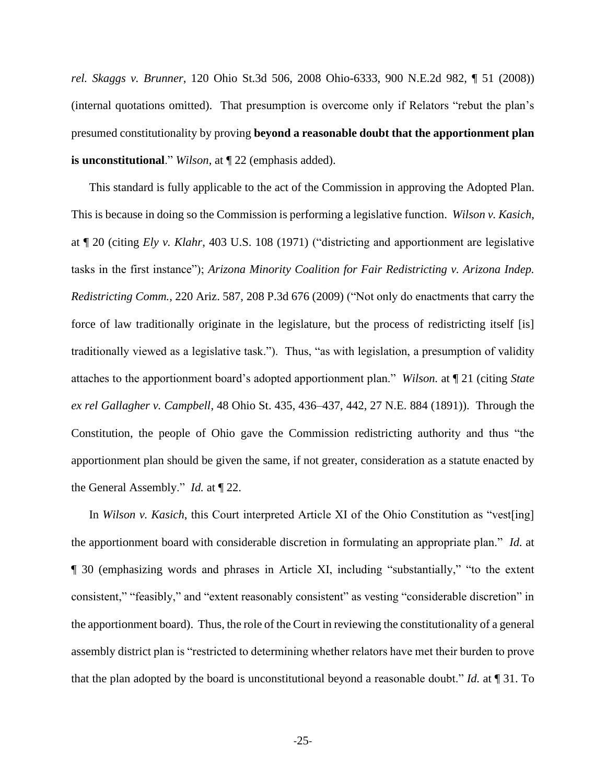*rel. Skaggs v. Brunner*, 120 Ohio St.3d 506, 2008 Ohio-6333, 900 N.E.2d 982, ¶ 51 (2008)) (internal quotations omitted). That presumption is overcome only if Relators "rebut the plan's presumed constitutionality by proving **beyond a reasonable doubt that the apportionment plan is unconstitutional**." *Wilson*, at ¶ 22 (emphasis added).

This standard is fully applicable to the act of the Commission in approving the Adopted Plan. This is because in doing so the Commission is performing a legislative function. *Wilson v. Kasich*, at ¶ 20 (citing *Ely v. Klahr*, 403 U.S. 108 (1971) ("districting and apportionment are legislative tasks in the first instance"); *Arizona Minority Coalition for Fair Redistricting v. Arizona Indep. Redistricting Comm.*, 220 Ariz. 587, 208 P.3d 676 (2009) ("Not only do enactments that carry the force of law traditionally originate in the legislature, but the process of redistricting itself [is] traditionally viewed as a legislative task."). Thus, "as with legislation, a presumption of validity attaches to the apportionment board's adopted apportionment plan." *Wilson.* at ¶ 21 (citing *State ex rel Gallagher v. Campbell*, 48 Ohio St. 435, 436–437, 442, 27 N.E. 884 (1891)). Through the Constitution, the people of Ohio gave the Commission redistricting authority and thus "the apportionment plan should be given the same, if not greater, consideration as a statute enacted by the General Assembly." *Id.* at ¶ 22.

In *Wilson v. Kasich*, this Court interpreted Article XI of the Ohio Constitution as "vest[ing] the apportionment board with considerable discretion in formulating an appropriate plan." *Id.* at ¶ 30 (emphasizing words and phrases in Article XI, including "substantially," "to the extent consistent," "feasibly," and "extent reasonably consistent" as vesting "considerable discretion" in the apportionment board). Thus, the role of the Court in reviewing the constitutionality of a general assembly district plan is "restricted to determining whether relators have met their burden to prove that the plan adopted by the board is unconstitutional beyond a reasonable doubt." *Id.* at ¶ 31. To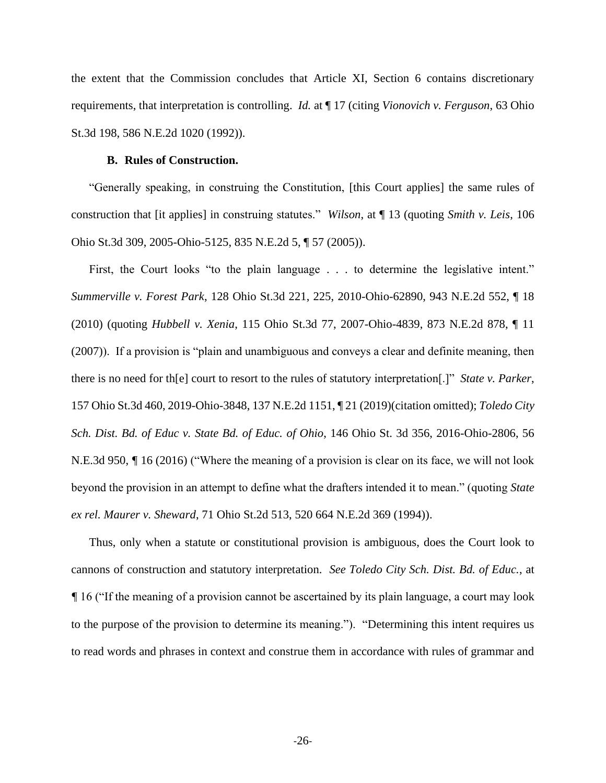the extent that the Commission concludes that Article XI, Section 6 contains discretionary requirements, that interpretation is controlling. *Id.* at ¶ 17 (citing *Vionovich v. Ferguson*, 63 Ohio St.3d 198, 586 N.E.2d 1020 (1992)).

## <span id="page-34-0"></span>**B. Rules of Construction.**

"Generally speaking, in construing the Constitution, [this Court applies] the same rules of construction that [it applies] in construing statutes." *Wilson*, at ¶ 13 (quoting *Smith v. Leis*, 106 Ohio St.3d 309, 2005-Ohio-5125, 835 N.E.2d 5, ¶ 57 (2005)).

First, the Court looks "to the plain language . . . to determine the legislative intent." *Summerville v. Forest Park*, 128 Ohio St.3d 221, 225, 2010-Ohio-62890, 943 N.E.2d 552, ¶ 18 (2010) (quoting *Hubbell v. Xenia*, 115 Ohio St.3d 77, 2007-Ohio-4839, 873 N.E.2d 878, ¶ 11 (2007)). If a provision is "plain and unambiguous and conveys a clear and definite meaning, then there is no need for th[e] court to resort to the rules of statutory interpretation[.]" *State v. Parker*, 157 Ohio St.3d 460, 2019-Ohio-3848, 137 N.E.2d 1151, ¶ 21 (2019)(citation omitted); *Toledo City Sch. Dist. Bd. of Educ v. State Bd. of Educ. of Ohio*, 146 Ohio St. 3d 356, 2016-Ohio-2806, 56 N.E.3d 950, *¶* 16 (2016) ("Where the meaning of a provision is clear on its face, we will not look beyond the provision in an attempt to define what the drafters intended it to mean." (quoting *State ex rel. Maurer v. Sheward*, 71 Ohio St.2d 513, 520 664 N.E.2d 369 (1994)).

Thus, only when a statute or constitutional provision is ambiguous, does the Court look to cannons of construction and statutory interpretation. *See Toledo City Sch. Dist. Bd. of Educ.*, at *¶* 16 ("If the meaning of a provision cannot be ascertained by its plain language, a court may look to the purpose of the provision to determine its meaning."). "Determining this intent requires us to read words and phrases in context and construe them in accordance with rules of grammar and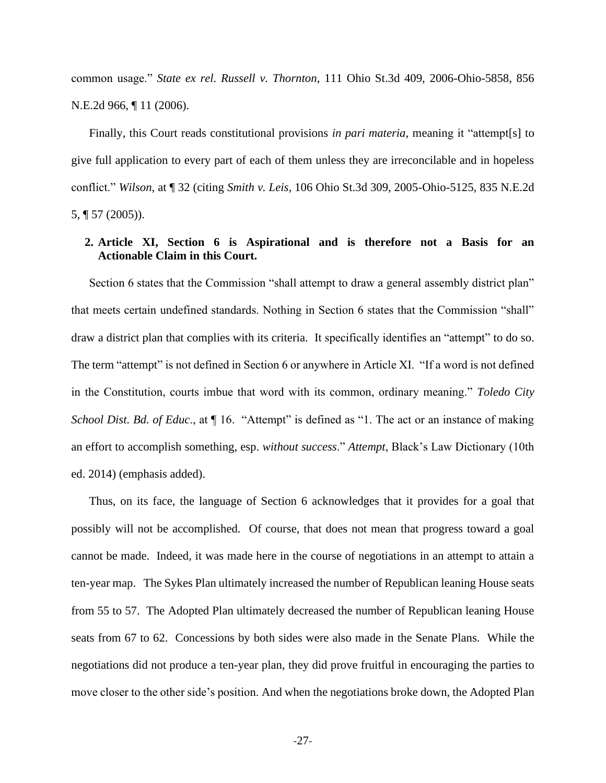common usage." *State ex rel. Russell v. Thornton*, 111 Ohio St.3d 409, 2006-Ohio-5858, 856 N.E.2d 966, ¶ 11 (2006).

Finally, this Court reads constitutional provisions *in pari materia*, meaning it "attempt[s] to give full application to every part of each of them unless they are irreconcilable and in hopeless conflict." *Wilson*, at ¶ 32 (citing *Smith v. Leis*, 106 Ohio St.3d 309, 2005-Ohio-5125, 835 N.E.2d 5, ¶ 57 (2005)).

## <span id="page-35-0"></span>**2. Article XI, Section 6 is Aspirational and is therefore not a Basis for an Actionable Claim in this Court.**

Section 6 states that the Commission "shall attempt to draw a general assembly district plan" that meets certain undefined standards. Nothing in Section 6 states that the Commission "shall" draw a district plan that complies with its criteria. It specifically identifies an "attempt" to do so. The term "attempt" is not defined in Section 6 or anywhere in Article XI. "If a word is not defined in the Constitution, courts imbue that word with its common, ordinary meaning." *Toledo City School Dist. Bd. of Educ*., at ¶ 16. "Attempt" is defined as "1. The act or an instance of making an effort to accomplish something, esp. *without success*." *Attempt*, Black's Law Dictionary (10th ed. 2014) (emphasis added).

Thus, on its face, the language of Section 6 acknowledges that it provides for a goal that possibly will not be accomplished. Of course, that does not mean that progress toward a goal cannot be made. Indeed, it was made here in the course of negotiations in an attempt to attain a ten-year map. The Sykes Plan ultimately increased the number of Republican leaning House seats from 55 to 57. The Adopted Plan ultimately decreased the number of Republican leaning House seats from 67 to 62. Concessions by both sides were also made in the Senate Plans. While the negotiations did not produce a ten-year plan, they did prove fruitful in encouraging the parties to move closer to the other side's position. And when the negotiations broke down, the Adopted Plan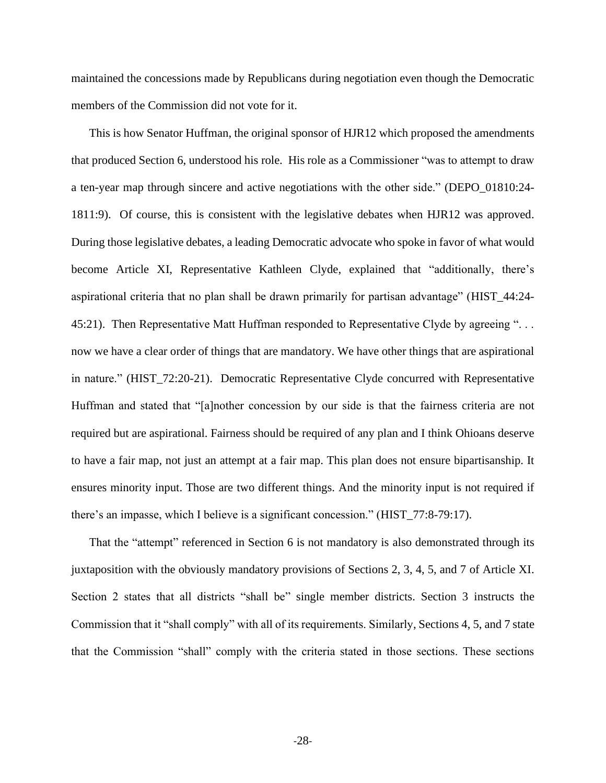maintained the concessions made by Republicans during negotiation even though the Democratic members of the Commission did not vote for it.

This is how Senator Huffman, the original sponsor of HJR12 which proposed the amendments that produced Section 6, understood his role. His role as a Commissioner "was to attempt to draw a ten-year map through sincere and active negotiations with the other side." (DEPO\_01810:24- 1811:9). Of course, this is consistent with the legislative debates when HJR12 was approved. During those legislative debates, a leading Democratic advocate who spoke in favor of what would become Article XI, Representative Kathleen Clyde, explained that "additionally, there's aspirational criteria that no plan shall be drawn primarily for partisan advantage" (HIST\_44:24- 45:21). Then Representative Matt Huffman responded to Representative Clyde by agreeing "... now we have a clear order of things that are mandatory. We have other things that are aspirational in nature." (HIST\_72:20-21). Democratic Representative Clyde concurred with Representative Huffman and stated that "[a]nother concession by our side is that the fairness criteria are not required but are aspirational. Fairness should be required of any plan and I think Ohioans deserve to have a fair map, not just an attempt at a fair map. This plan does not ensure bipartisanship. It ensures minority input. Those are two different things. And the minority input is not required if there's an impasse, which I believe is a significant concession." (HIST\_77:8-79:17).

That the "attempt" referenced in Section 6 is not mandatory is also demonstrated through its juxtaposition with the obviously mandatory provisions of Sections 2, 3, 4, 5, and 7 of Article XI. Section 2 states that all districts "shall be" single member districts. Section 3 instructs the Commission that it "shall comply" with all of its requirements. Similarly, Sections 4, 5, and 7 state that the Commission "shall" comply with the criteria stated in those sections. These sections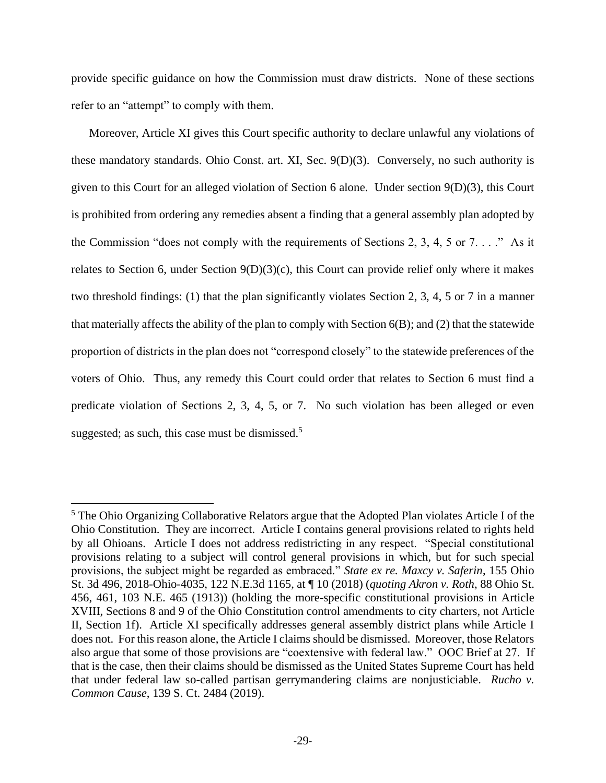provide specific guidance on how the Commission must draw districts. None of these sections refer to an "attempt" to comply with them.

Moreover, Article XI gives this Court specific authority to declare unlawful any violations of these mandatory standards. Ohio Const. art. XI, Sec. 9(D)(3). Conversely, no such authority is given to this Court for an alleged violation of Section 6 alone. Under section 9(D)(3), this Court is prohibited from ordering any remedies absent a finding that a general assembly plan adopted by the Commission "does not comply with the requirements of Sections 2, 3, 4, 5 or  $7 \ldots$ ." As it relates to Section 6, under Section 9(D)(3)(c), this Court can provide relief only where it makes two threshold findings: (1) that the plan significantly violates Section 2, 3, 4, 5 or 7 in a manner that materially affects the ability of the plan to comply with Section 6(B); and (2) that the statewide proportion of districts in the plan does not "correspond closely" to the statewide preferences of the voters of Ohio. Thus, any remedy this Court could order that relates to Section 6 must find a predicate violation of Sections 2, 3, 4, 5, or 7. No such violation has been alleged or even suggested; as such, this case must be dismissed. $5$ 

<sup>&</sup>lt;sup>5</sup> The Ohio Organizing Collaborative Relators argue that the Adopted Plan violates Article I of the Ohio Constitution. They are incorrect. Article I contains general provisions related to rights held by all Ohioans. Article I does not address redistricting in any respect. "Special constitutional provisions relating to a subject will control general provisions in which, but for such special provisions, the subject might be regarded as embraced." *State ex re. Maxcy v. Saferin*, 155 Ohio St. 3d 496, 2018-Ohio-4035, 122 N.E.3d 1165, at ¶ 10 (2018) (*quoting Akron v. Roth*, 88 Ohio St. 456, 461, 103 N.E. 465 (1913)) (holding the more-specific constitutional provisions in Article XVIII, Sections 8 and 9 of the Ohio Constitution control amendments to city charters, not Article II, Section 1f). Article XI specifically addresses general assembly district plans while Article I does not. For this reason alone, the Article I claims should be dismissed. Moreover, those Relators also argue that some of those provisions are "coextensive with federal law." OOC Brief at 27. If that is the case, then their claims should be dismissed as the United States Supreme Court has held that under federal law so-called partisan gerrymandering claims are nonjusticiable. *Rucho v. Common Cause*, 139 S. Ct. 2484 (2019).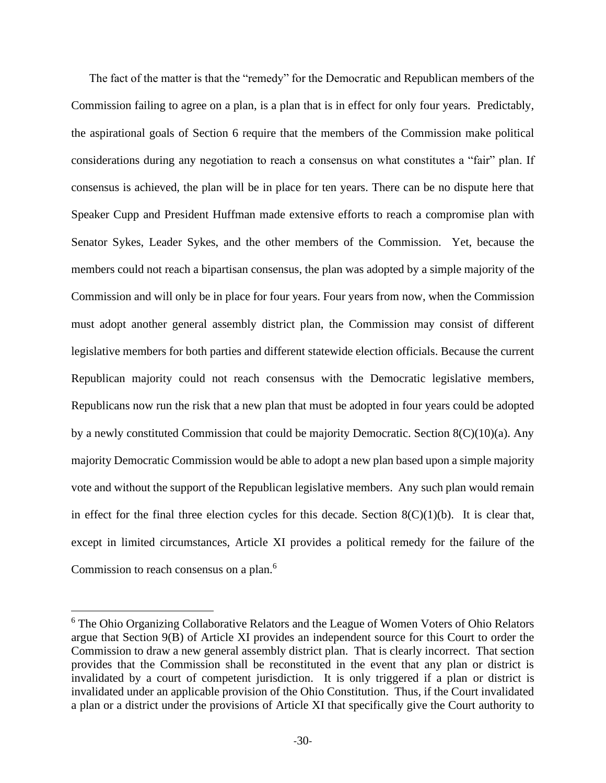The fact of the matter is that the "remedy" for the Democratic and Republican members of the Commission failing to agree on a plan, is a plan that is in effect for only four years. Predictably, the aspirational goals of Section 6 require that the members of the Commission make political considerations during any negotiation to reach a consensus on what constitutes a "fair" plan. If consensus is achieved, the plan will be in place for ten years. There can be no dispute here that Speaker Cupp and President Huffman made extensive efforts to reach a compromise plan with Senator Sykes, Leader Sykes, and the other members of the Commission. Yet, because the members could not reach a bipartisan consensus, the plan was adopted by a simple majority of the Commission and will only be in place for four years. Four years from now, when the Commission must adopt another general assembly district plan, the Commission may consist of different legislative members for both parties and different statewide election officials. Because the current Republican majority could not reach consensus with the Democratic legislative members, Republicans now run the risk that a new plan that must be adopted in four years could be adopted by a newly constituted Commission that could be majority Democratic. Section  $8(C)(10)(a)$ . Any majority Democratic Commission would be able to adopt a new plan based upon a simple majority vote and without the support of the Republican legislative members. Any such plan would remain in effect for the final three election cycles for this decade. Section  $8(C)(1)(b)$ . It is clear that, except in limited circumstances, Article XI provides a political remedy for the failure of the Commission to reach consensus on a plan.<sup>6</sup>

<sup>6</sup> The Ohio Organizing Collaborative Relators and the League of Women Voters of Ohio Relators argue that Section 9(B) of Article XI provides an independent source for this Court to order the Commission to draw a new general assembly district plan. That is clearly incorrect. That section provides that the Commission shall be reconstituted in the event that any plan or district is invalidated by a court of competent jurisdiction. It is only triggered if a plan or district is invalidated under an applicable provision of the Ohio Constitution. Thus, if the Court invalidated a plan or a district under the provisions of Article XI that specifically give the Court authority to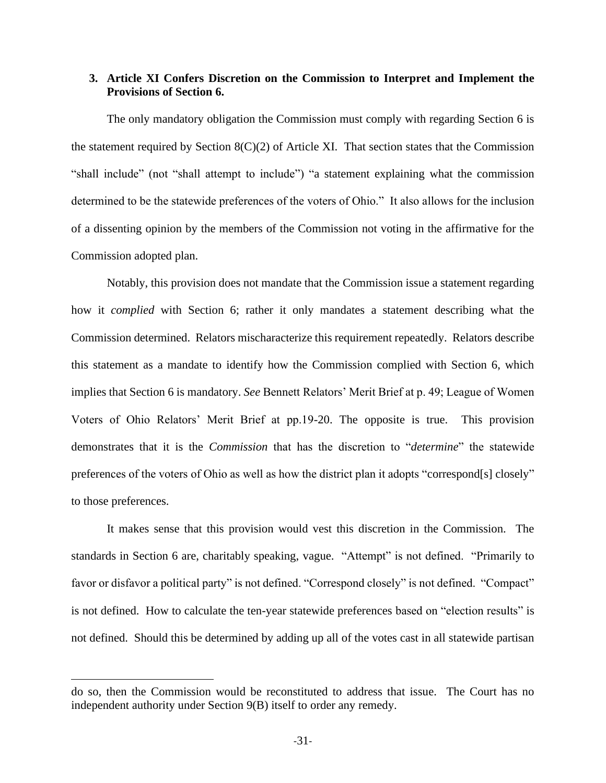## <span id="page-39-0"></span>**3. Article XI Confers Discretion on the Commission to Interpret and Implement the Provisions of Section 6.**

The only mandatory obligation the Commission must comply with regarding Section 6 is the statement required by Section 8(C)(2) of Article XI. That section states that the Commission "shall include" (not "shall attempt to include") "a statement explaining what the commission determined to be the statewide preferences of the voters of Ohio." It also allows for the inclusion of a dissenting opinion by the members of the Commission not voting in the affirmative for the Commission adopted plan.

Notably, this provision does not mandate that the Commission issue a statement regarding how it *complied* with Section 6; rather it only mandates a statement describing what the Commission determined. Relators mischaracterize this requirement repeatedly. Relators describe this statement as a mandate to identify how the Commission complied with Section 6, which implies that Section 6 is mandatory. *See* Bennett Relators' Merit Brief at p. 49; League of Women Voters of Ohio Relators' Merit Brief at pp.19-20. The opposite is true. This provision demonstrates that it is the *Commission* that has the discretion to "*determine*" the statewide preferences of the voters of Ohio as well as how the district plan it adopts "correspond[s] closely" to those preferences.

It makes sense that this provision would vest this discretion in the Commission. The standards in Section 6 are, charitably speaking, vague. "Attempt" is not defined. "Primarily to favor or disfavor a political party" is not defined. "Correspond closely" is not defined. "Compact" is not defined. How to calculate the ten-year statewide preferences based on "election results" is not defined. Should this be determined by adding up all of the votes cast in all statewide partisan

do so, then the Commission would be reconstituted to address that issue. The Court has no independent authority under Section 9(B) itself to order any remedy.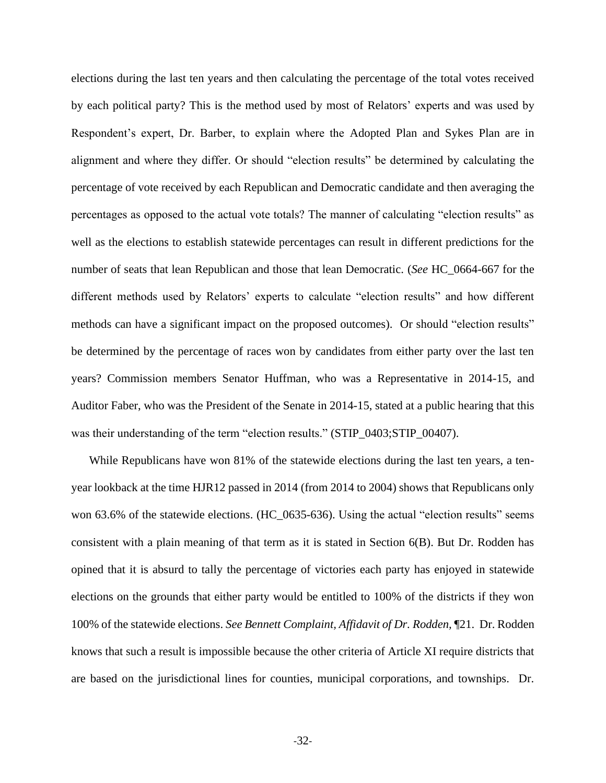elections during the last ten years and then calculating the percentage of the total votes received by each political party? This is the method used by most of Relators' experts and was used by Respondent's expert, Dr. Barber, to explain where the Adopted Plan and Sykes Plan are in alignment and where they differ. Or should "election results" be determined by calculating the percentage of vote received by each Republican and Democratic candidate and then averaging the percentages as opposed to the actual vote totals? The manner of calculating "election results" as well as the elections to establish statewide percentages can result in different predictions for the number of seats that lean Republican and those that lean Democratic. (*See* HC\_0664-667 for the different methods used by Relators' experts to calculate "election results" and how different methods can have a significant impact on the proposed outcomes). Or should "election results" be determined by the percentage of races won by candidates from either party over the last ten years? Commission members Senator Huffman, who was a Representative in 2014-15, and Auditor Faber, who was the President of the Senate in 2014-15, stated at a public hearing that this was their understanding of the term "election results." (STIP\_0403;STIP\_00407).

While Republicans have won 81% of the statewide elections during the last ten years, a tenyear lookback at the time HJR12 passed in 2014 (from 2014 to 2004) shows that Republicans only won 63.6% of the statewide elections. (HC\_0635-636). Using the actual "election results" seems consistent with a plain meaning of that term as it is stated in Section 6(B). But Dr. Rodden has opined that it is absurd to tally the percentage of victories each party has enjoyed in statewide elections on the grounds that either party would be entitled to 100% of the districts if they won 100% of the statewide elections. *See Bennett Complaint, Affidavit of Dr. Rodden,* ¶21. Dr. Rodden knows that such a result is impossible because the other criteria of Article XI require districts that are based on the jurisdictional lines for counties, municipal corporations, and townships. Dr.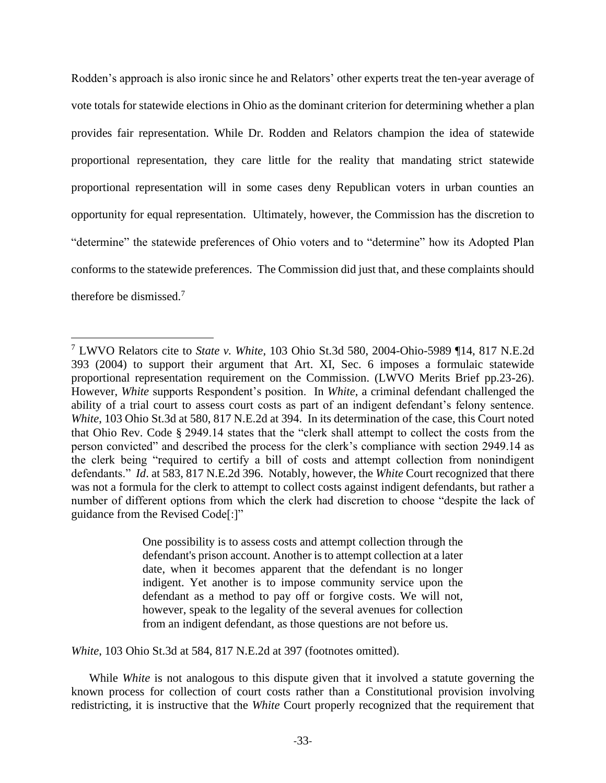Rodden's approach is also ironic since he and Relators' other experts treat the ten-year average of vote totals for statewide elections in Ohio as the dominant criterion for determining whether a plan provides fair representation. While Dr. Rodden and Relators champion the idea of statewide proportional representation, they care little for the reality that mandating strict statewide proportional representation will in some cases deny Republican voters in urban counties an opportunity for equal representation. Ultimately, however, the Commission has the discretion to "determine" the statewide preferences of Ohio voters and to "determine" how its Adopted Plan conforms to the statewide preferences. The Commission did just that, and these complaints should therefore be dismissed.<sup>7</sup>

One possibility is to assess costs and attempt collection through the defendant's prison account. Another is to attempt collection at a later date, when it becomes apparent that the defendant is no longer indigent. Yet another is to impose community service upon the defendant as a method to pay off or forgive costs. We will not, however, speak to the legality of the several avenues for collection from an indigent defendant, as those questions are not before us.

*White*, 103 Ohio St.3d at 584, 817 N.E.2d at 397 (footnotes omitted).

While *White* is not analogous to this dispute given that it involved a statute governing the known process for collection of court costs rather than a Constitutional provision involving redistricting, it is instructive that the *White* Court properly recognized that the requirement that

<sup>7</sup> LWVO Relators cite to *State v. White*, 103 Ohio St.3d 580, 2004-Ohio-5989 ¶14, 817 N.E.2d 393 (2004) to support their argument that Art. XI, Sec. 6 imposes a formulaic statewide proportional representation requirement on the Commission. (LWVO Merits Brief pp.23-26). However, *White* supports Respondent's position. In *White*, a criminal defendant challenged the ability of a trial court to assess court costs as part of an indigent defendant's felony sentence. *White*, 103 Ohio St.3d at 580, 817 N.E.2d at 394. In its determination of the case, this Court noted that Ohio Rev. Code § 2949.14 states that the "clerk shall attempt to collect the costs from the person convicted" and described the process for the clerk's compliance with section 2949.14 as the clerk being "required to certify a bill of costs and attempt collection from nonindigent defendants." *Id*. at 583, 817 N.E.2d 396. Notably, however, the *White* Court recognized that there was not a formula for the clerk to attempt to collect costs against indigent defendants, but rather a number of different options from which the clerk had discretion to choose "despite the lack of guidance from the Revised Code[:]"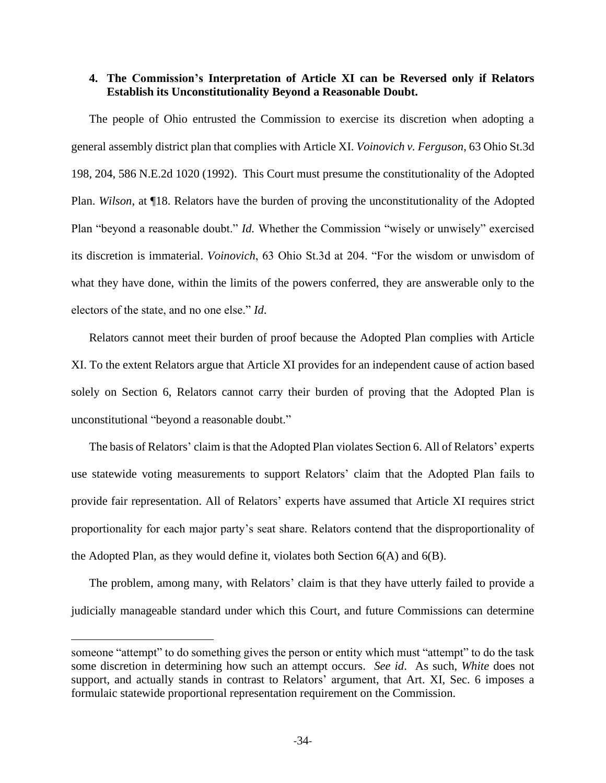## <span id="page-42-0"></span>**4. The Commission's Interpretation of Article XI can be Reversed only if Relators Establish its Unconstitutionality Beyond a Reasonable Doubt.**

The people of Ohio entrusted the Commission to exercise its discretion when adopting a general assembly district plan that complies with Article XI. *Voinovich v. Ferguson*, 63 Ohio St.3d 198, 204, 586 N.E.2d 1020 (1992). This Court must presume the constitutionality of the Adopted Plan. *Wilson*, at ¶18. Relators have the burden of proving the unconstitutionality of the Adopted Plan "beyond a reasonable doubt." *Id.* Whether the Commission "wisely or unwisely" exercised its discretion is immaterial. *Voinovich*, 63 Ohio St.3d at 204. "For the wisdom or unwisdom of what they have done, within the limits of the powers conferred, they are answerable only to the electors of the state, and no one else." *Id*.

Relators cannot meet their burden of proof because the Adopted Plan complies with Article XI. To the extent Relators argue that Article XI provides for an independent cause of action based solely on Section 6, Relators cannot carry their burden of proving that the Adopted Plan is unconstitutional "beyond a reasonable doubt."

The basis of Relators' claim is that the Adopted Plan violates Section 6. All of Relators' experts use statewide voting measurements to support Relators' claim that the Adopted Plan fails to provide fair representation. All of Relators' experts have assumed that Article XI requires strict proportionality for each major party's seat share. Relators contend that the disproportionality of the Adopted Plan, as they would define it, violates both Section 6(A) and 6(B).

The problem, among many, with Relators' claim is that they have utterly failed to provide a judicially manageable standard under which this Court, and future Commissions can determine

someone "attempt" to do something gives the person or entity which must "attempt" to do the task some discretion in determining how such an attempt occurs. *See id*. As such, *White* does not support, and actually stands in contrast to Relators' argument, that Art. XI, Sec. 6 imposes a formulaic statewide proportional representation requirement on the Commission.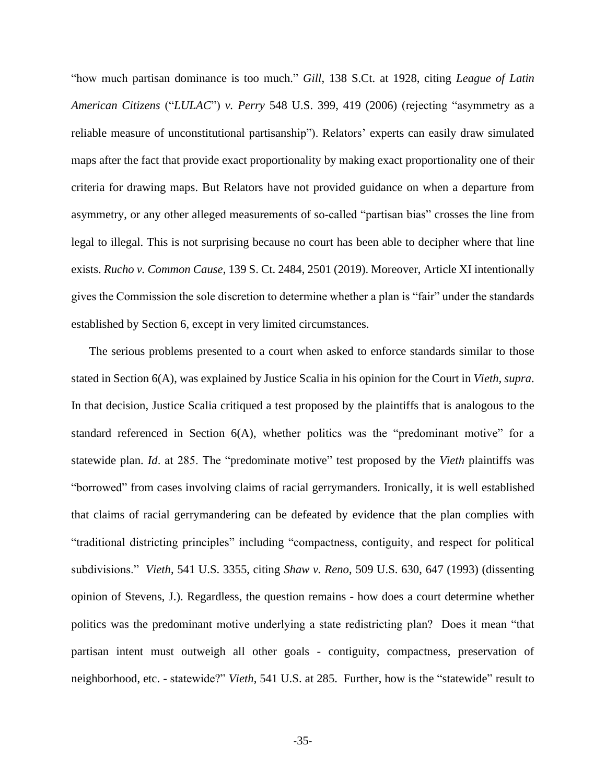"how much partisan dominance is too much." *Gill*, 138 S.Ct. at 1928, citing *League of Latin American Citizens* ("*LULAC*") *v. Perry* 548 U.S. 399, 419 (2006) (rejecting "asymmetry as a reliable measure of unconstitutional partisanship"). Relators' experts can easily draw simulated maps after the fact that provide exact proportionality by making exact proportionality one of their criteria for drawing maps. But Relators have not provided guidance on when a departure from asymmetry, or any other alleged measurements of so-called "partisan bias" crosses the line from legal to illegal. This is not surprising because no court has been able to decipher where that line exists. *Rucho v. Common Cause*, 139 S. Ct. 2484, 2501 (2019). Moreover, Article XI intentionally gives the Commission the sole discretion to determine whether a plan is "fair" under the standards established by Section 6, except in very limited circumstances.

The serious problems presented to a court when asked to enforce standards similar to those stated in Section 6(A), was explained by Justice Scalia in his opinion for the Court in *Vieth, supra*. In that decision, Justice Scalia critiqued a test proposed by the plaintiffs that is analogous to the standard referenced in Section 6(A), whether politics was the "predominant motive" for a statewide plan. *Id*. at 285. The "predominate motive" test proposed by the *Vieth* plaintiffs was "borrowed" from cases involving claims of racial gerrymanders. Ironically, it is well established that claims of racial gerrymandering can be defeated by evidence that the plan complies with "traditional districting principles" including "compactness, contiguity, and respect for political subdivisions." *Vieth*, 541 U.S. 3355, citing *Shaw v. Reno*, 509 U.S. 630, 647 (1993) (dissenting opinion of Stevens, J.). Regardless, the question remains - how does a court determine whether politics was the predominant motive underlying a state redistricting plan? Does it mean "that partisan intent must outweigh all other goals - contiguity, compactness, preservation of neighborhood, etc. - statewide?" *Vieth*, 541 U.S. at 285. Further, how is the "statewide" result to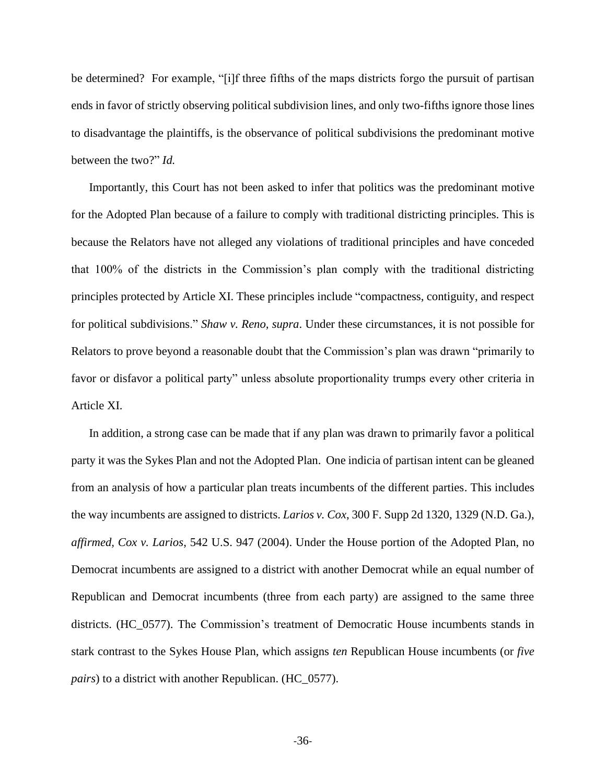be determined? For example, "[i]f three fifths of the maps districts forgo the pursuit of partisan ends in favor of strictly observing political subdivision lines, and only two-fifths ignore those lines to disadvantage the plaintiffs, is the observance of political subdivisions the predominant motive between the two?" *Id.*

Importantly, this Court has not been asked to infer that politics was the predominant motive for the Adopted Plan because of a failure to comply with traditional districting principles. This is because the Relators have not alleged any violations of traditional principles and have conceded that 100% of the districts in the Commission's plan comply with the traditional districting principles protected by Article XI. These principles include "compactness, contiguity, and respect for political subdivisions." *Shaw v. Reno, supra*. Under these circumstances, it is not possible for Relators to prove beyond a reasonable doubt that the Commission's plan was drawn "primarily to favor or disfavor a political party" unless absolute proportionality trumps every other criteria in Article XI.

In addition, a strong case can be made that if any plan was drawn to primarily favor a political party it was the Sykes Plan and not the Adopted Plan. One indicia of partisan intent can be gleaned from an analysis of how a particular plan treats incumbents of the different parties. This includes the way incumbents are assigned to districts. *Larios v. Cox*, 300 F. Supp 2d 1320, 1329 (N.D. Ga.), *affirmed, Cox v. Larios*, 542 U.S. 947 (2004). Under the House portion of the Adopted Plan, no Democrat incumbents are assigned to a district with another Democrat while an equal number of Republican and Democrat incumbents (three from each party) are assigned to the same three districts. (HC\_0577). The Commission's treatment of Democratic House incumbents stands in stark contrast to the Sykes House Plan, which assigns *ten* Republican House incumbents (or *five pairs*) to a district with another Republican. (HC\_0577).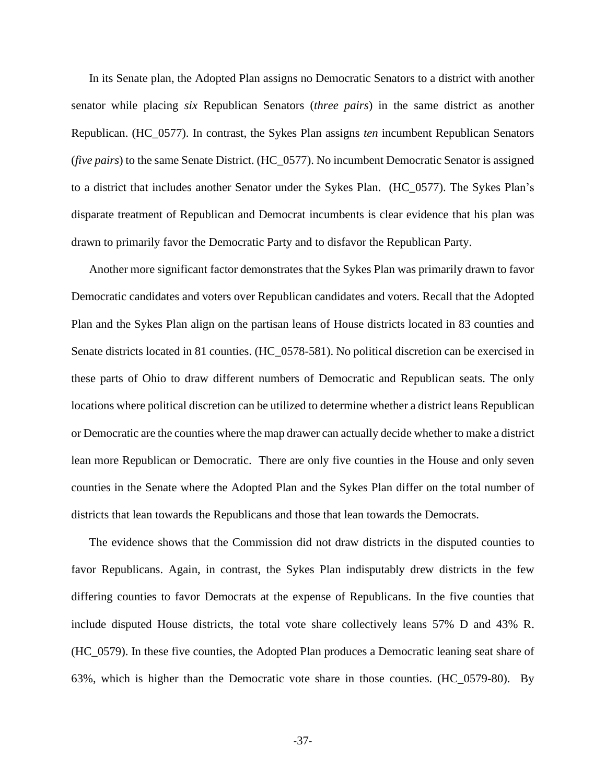In its Senate plan, the Adopted Plan assigns no Democratic Senators to a district with another senator while placing *six* Republican Senators (*three pairs*) in the same district as another Republican. (HC\_0577). In contrast, the Sykes Plan assigns *ten* incumbent Republican Senators (*five pairs*) to the same Senate District. (HC\_0577). No incumbent Democratic Senator is assigned to a district that includes another Senator under the Sykes Plan. (HC\_0577). The Sykes Plan's disparate treatment of Republican and Democrat incumbents is clear evidence that his plan was drawn to primarily favor the Democratic Party and to disfavor the Republican Party.

Another more significant factor demonstrates that the Sykes Plan was primarily drawn to favor Democratic candidates and voters over Republican candidates and voters. Recall that the Adopted Plan and the Sykes Plan align on the partisan leans of House districts located in 83 counties and Senate districts located in 81 counties. (HC\_0578-581). No political discretion can be exercised in these parts of Ohio to draw different numbers of Democratic and Republican seats. The only locations where political discretion can be utilized to determine whether a district leans Republican or Democratic are the counties where the map drawer can actually decide whether to make a district lean more Republican or Democratic. There are only five counties in the House and only seven counties in the Senate where the Adopted Plan and the Sykes Plan differ on the total number of districts that lean towards the Republicans and those that lean towards the Democrats.

The evidence shows that the Commission did not draw districts in the disputed counties to favor Republicans. Again, in contrast, the Sykes Plan indisputably drew districts in the few differing counties to favor Democrats at the expense of Republicans. In the five counties that include disputed House districts, the total vote share collectively leans 57% D and 43% R. (HC\_0579). In these five counties, the Adopted Plan produces a Democratic leaning seat share of 63%, which is higher than the Democratic vote share in those counties. (HC\_0579-80). By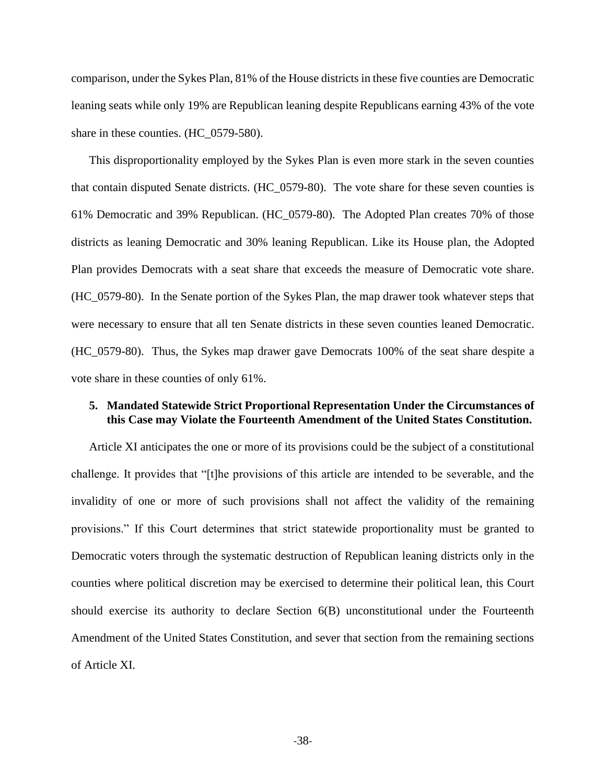comparison, under the Sykes Plan, 81% of the House districts in these five counties are Democratic leaning seats while only 19% are Republican leaning despite Republicans earning 43% of the vote share in these counties. (HC\_0579-580).

This disproportionality employed by the Sykes Plan is even more stark in the seven counties that contain disputed Senate districts. (HC\_0579-80). The vote share for these seven counties is 61% Democratic and 39% Republican. (HC\_0579-80). The Adopted Plan creates 70% of those districts as leaning Democratic and 30% leaning Republican. Like its House plan, the Adopted Plan provides Democrats with a seat share that exceeds the measure of Democratic vote share. (HC\_0579-80). In the Senate portion of the Sykes Plan, the map drawer took whatever steps that were necessary to ensure that all ten Senate districts in these seven counties leaned Democratic. (HC\_0579-80). Thus, the Sykes map drawer gave Democrats 100% of the seat share despite a vote share in these counties of only 61%.

## <span id="page-46-0"></span>**5. Mandated Statewide Strict Proportional Representation Under the Circumstances of this Case may Violate the Fourteenth Amendment of the United States Constitution.**

Article XI anticipates the one or more of its provisions could be the subject of a constitutional challenge. It provides that "[t]he provisions of this article are intended to be severable, and the invalidity of one or more of such provisions shall not affect the validity of the remaining provisions." If this Court determines that strict statewide proportionality must be granted to Democratic voters through the systematic destruction of Republican leaning districts only in the counties where political discretion may be exercised to determine their political lean, this Court should exercise its authority to declare Section 6(B) unconstitutional under the Fourteenth Amendment of the United States Constitution, and sever that section from the remaining sections of Article XI.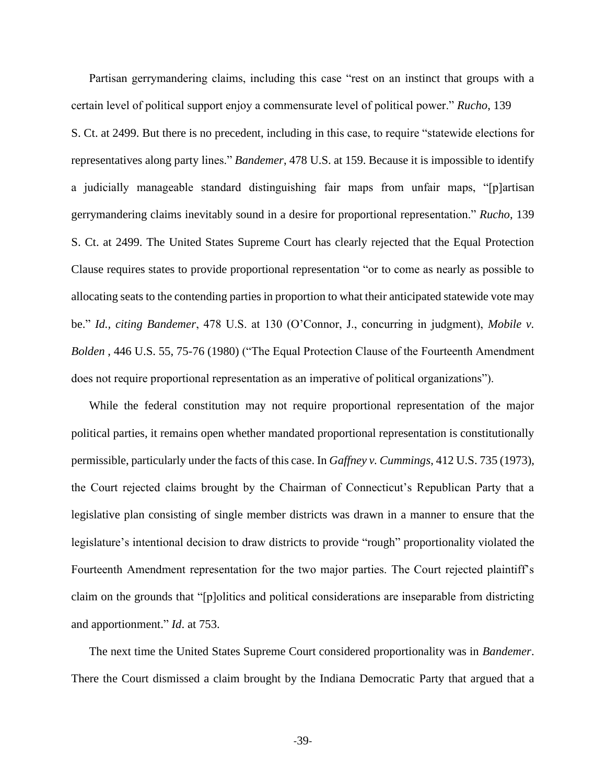Partisan gerrymandering claims, including this case "rest on an instinct that groups with a certain level of political support enjoy a commensurate level of political power." *Rucho*, 139 S. Ct. at 2499. But there is no precedent, including in this case, to require "statewide elections for representatives along party lines." *Bandemer*, 478 U.S. at 159. Because it is impossible to identify a judicially manageable standard distinguishing fair maps from unfair maps, "[p]artisan gerrymandering claims inevitably sound in a desire for proportional representation." *Rucho*, 139 S. Ct. at 2499. The United States Supreme Court has clearly rejected that the Equal Protection Clause requires states to provide proportional representation "or to come as nearly as possible to allocating seats to the contending parties in proportion to what their anticipated statewide vote may be." *Id., citing Bandemer*, 478 U.S. at 130 (O'Connor, J., concurring in judgment), *Mobile v. Bolden* , 446 U.S. 55, 75-76 (1980) ("The Equal Protection Clause of the Fourteenth Amendment does not require proportional representation as an imperative of political organizations").

While the federal constitution may not require proportional representation of the major political parties, it remains open whether mandated proportional representation is constitutionally permissible, particularly under the facts of this case. In *Gaffney v. Cummings*, 412 U.S. 735 (1973), the Court rejected claims brought by the Chairman of Connecticut's Republican Party that a legislative plan consisting of single member districts was drawn in a manner to ensure that the legislature's intentional decision to draw districts to provide "rough" proportionality violated the Fourteenth Amendment representation for the two major parties. The Court rejected plaintiff's claim on the grounds that "[p]olitics and political considerations are inseparable from districting and apportionment." *Id*. at 753.

The next time the United States Supreme Court considered proportionality was in *Bandemer*. There the Court dismissed a claim brought by the Indiana Democratic Party that argued that a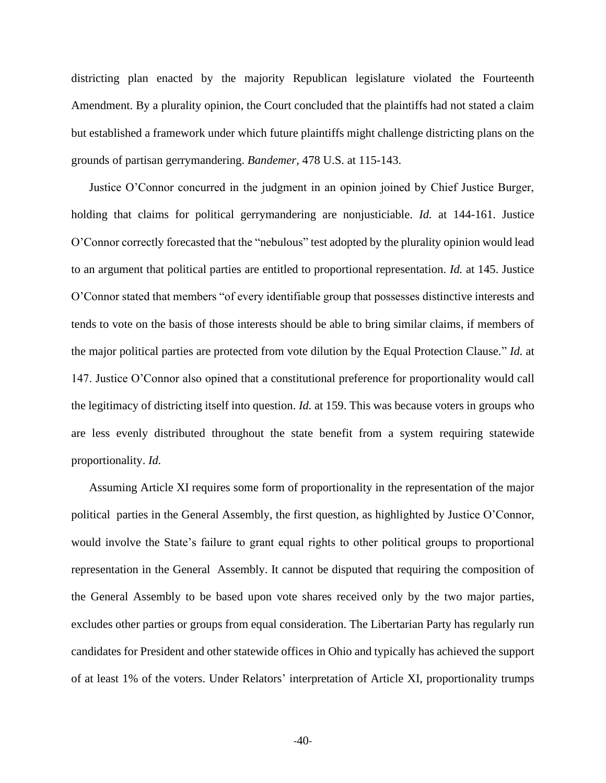districting plan enacted by the majority Republican legislature violated the Fourteenth Amendment. By a plurality opinion, the Court concluded that the plaintiffs had not stated a claim but established a framework under which future plaintiffs might challenge districting plans on the grounds of partisan gerrymandering. *Bandemer,* 478 U.S. at 115-143.

Justice O'Connor concurred in the judgment in an opinion joined by Chief Justice Burger, holding that claims for political gerrymandering are nonjusticiable. *Id.* at 144-161. Justice O'Connor correctly forecasted that the "nebulous" test adopted by the plurality opinion would lead to an argument that political parties are entitled to proportional representation. *Id.* at 145. Justice O'Connor stated that members "of every identifiable group that possesses distinctive interests and tends to vote on the basis of those interests should be able to bring similar claims, if members of the major political parties are protected from vote dilution by the Equal Protection Clause." *Id.* at 147. Justice O'Connor also opined that a constitutional preference for proportionality would call the legitimacy of districting itself into question. *Id.* at 159. This was because voters in groups who are less evenly distributed throughout the state benefit from a system requiring statewide proportionality. *Id.*

Assuming Article XI requires some form of proportionality in the representation of the major political parties in the General Assembly, the first question, as highlighted by Justice O'Connor, would involve the State's failure to grant equal rights to other political groups to proportional representation in the General Assembly. It cannot be disputed that requiring the composition of the General Assembly to be based upon vote shares received only by the two major parties, excludes other parties or groups from equal consideration. The Libertarian Party has regularly run candidates for President and other statewide offices in Ohio and typically has achieved the support of at least 1% of the voters. Under Relators' interpretation of Article XI, proportionality trumps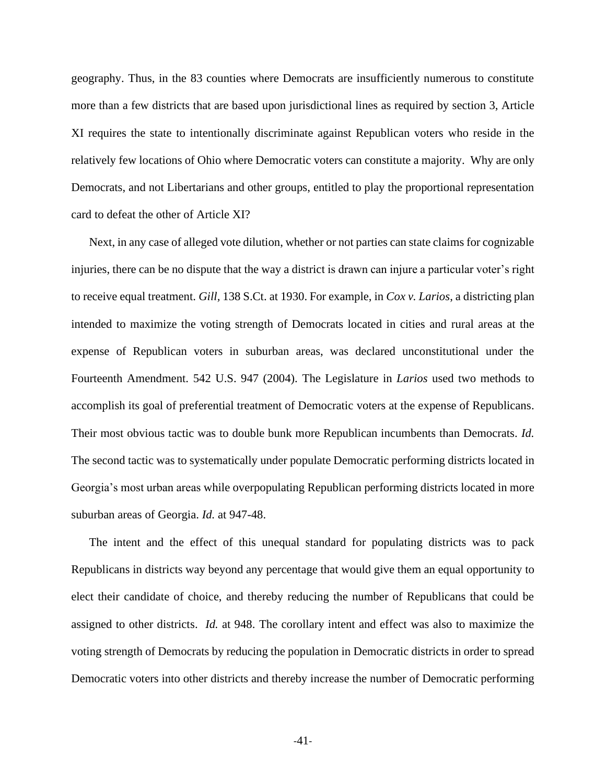geography. Thus, in the 83 counties where Democrats are insufficiently numerous to constitute more than a few districts that are based upon jurisdictional lines as required by section 3, Article XI requires the state to intentionally discriminate against Republican voters who reside in the relatively few locations of Ohio where Democratic voters can constitute a majority. Why are only Democrats, and not Libertarians and other groups, entitled to play the proportional representation card to defeat the other of Article XI?

Next, in any case of alleged vote dilution, whether or not parties can state claims for cognizable injuries, there can be no dispute that the way a district is drawn can injure a particular voter's right to receive equal treatment. *Gill,* 138 S.Ct. at 1930. For example, in *Cox v. Larios*, a districting plan intended to maximize the voting strength of Democrats located in cities and rural areas at the expense of Republican voters in suburban areas, was declared unconstitutional under the Fourteenth Amendment. 542 U.S. 947 (2004). The Legislature in *Larios* used two methods to accomplish its goal of preferential treatment of Democratic voters at the expense of Republicans. Their most obvious tactic was to double bunk more Republican incumbents than Democrats. *Id.*  The second tactic was to systematically under populate Democratic performing districts located in Georgia's most urban areas while overpopulating Republican performing districts located in more suburban areas of Georgia. *Id.* at 947-48.

The intent and the effect of this unequal standard for populating districts was to pack Republicans in districts way beyond any percentage that would give them an equal opportunity to elect their candidate of choice, and thereby reducing the number of Republicans that could be assigned to other districts. *Id.* at 948. The corollary intent and effect was also to maximize the voting strength of Democrats by reducing the population in Democratic districts in order to spread Democratic voters into other districts and thereby increase the number of Democratic performing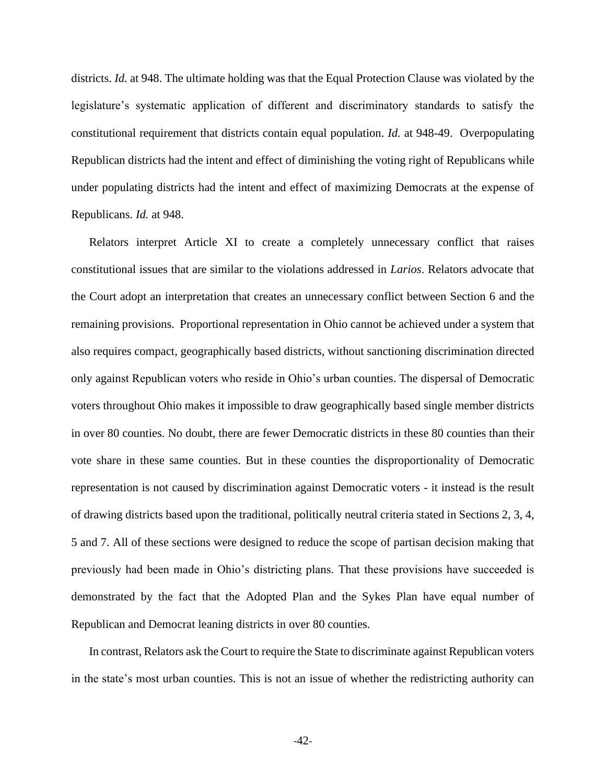districts. *Id.* at 948. The ultimate holding was that the Equal Protection Clause was violated by the legislature's systematic application of different and discriminatory standards to satisfy the constitutional requirement that districts contain equal population. *Id.* at 948-49. Overpopulating Republican districts had the intent and effect of diminishing the voting right of Republicans while under populating districts had the intent and effect of maximizing Democrats at the expense of Republicans. *Id.* at 948.

Relators interpret Article XI to create a completely unnecessary conflict that raises constitutional issues that are similar to the violations addressed in *Larios*. Relators advocate that the Court adopt an interpretation that creates an unnecessary conflict between Section 6 and the remaining provisions. Proportional representation in Ohio cannot be achieved under a system that also requires compact, geographically based districts, without sanctioning discrimination directed only against Republican voters who reside in Ohio's urban counties. The dispersal of Democratic voters throughout Ohio makes it impossible to draw geographically based single member districts in over 80 counties. No doubt, there are fewer Democratic districts in these 80 counties than their vote share in these same counties. But in these counties the disproportionality of Democratic representation is not caused by discrimination against Democratic voters - it instead is the result of drawing districts based upon the traditional, politically neutral criteria stated in Sections 2, 3, 4, 5 and 7. All of these sections were designed to reduce the scope of partisan decision making that previously had been made in Ohio's districting plans. That these provisions have succeeded is demonstrated by the fact that the Adopted Plan and the Sykes Plan have equal number of Republican and Democrat leaning districts in over 80 counties.

In contrast, Relators ask the Court to require the State to discriminate against Republican voters in the state's most urban counties. This is not an issue of whether the redistricting authority can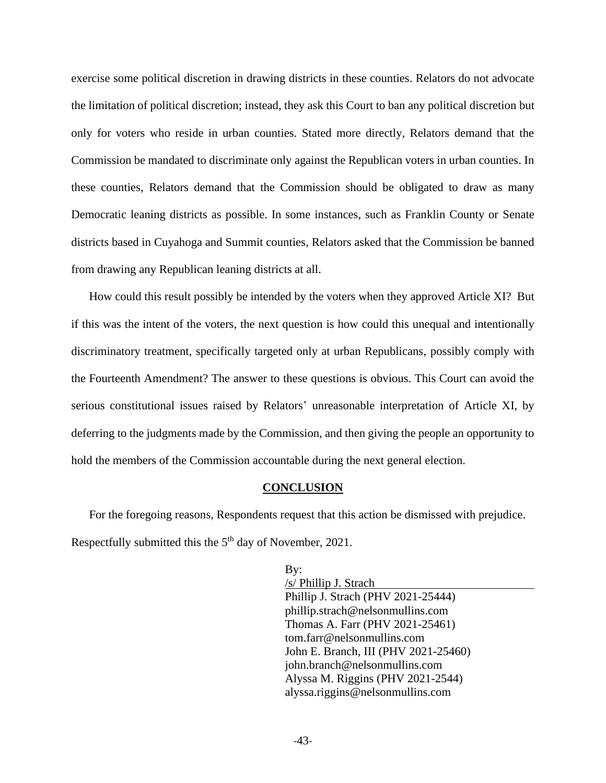exercise some political discretion in drawing districts in these counties. Relators do not advocate the limitation of political discretion; instead, they ask this Court to ban any political discretion but only for voters who reside in urban counties. Stated more directly, Relators demand that the Commission be mandated to discriminate only against the Republican voters in urban counties. In these counties, Relators demand that the Commission should be obligated to draw as many Democratic leaning districts as possible. In some instances, such as Franklin County or Senate districts based in Cuyahoga and Summit counties, Relators asked that the Commission be banned from drawing any Republican leaning districts at all.

How could this result possibly be intended by the voters when they approved Article XI? But if this was the intent of the voters, the next question is how could this unequal and intentionally discriminatory treatment, specifically targeted only at urban Republicans, possibly comply with the Fourteenth Amendment? The answer to these questions is obvious. This Court can avoid the serious constitutional issues raised by Relators' unreasonable interpretation of Article XI, by deferring to the judgments made by the Commission, and then giving the people an opportunity to hold the members of the Commission accountable during the next general election.

#### <span id="page-51-0"></span>**CONCLUSION**

For the foregoing reasons, Respondents request that this action be dismissed with prejudice. Respectfully submitted this the 5<sup>th</sup> day of November, 2021.

> By: /s/ Phillip J. Strach Phillip J. Strach (PHV 2021-25444) phillip.strach@nelsonmullins.com Thomas A. Farr (PHV 2021-25461) tom.farr@nelsonmullins.com John E. Branch, III (PHV 2021-25460) john.branch@nelsonmullins.com Alyssa M. Riggins (PHV 2021-2544) alyssa.riggins@nelsonmullins.com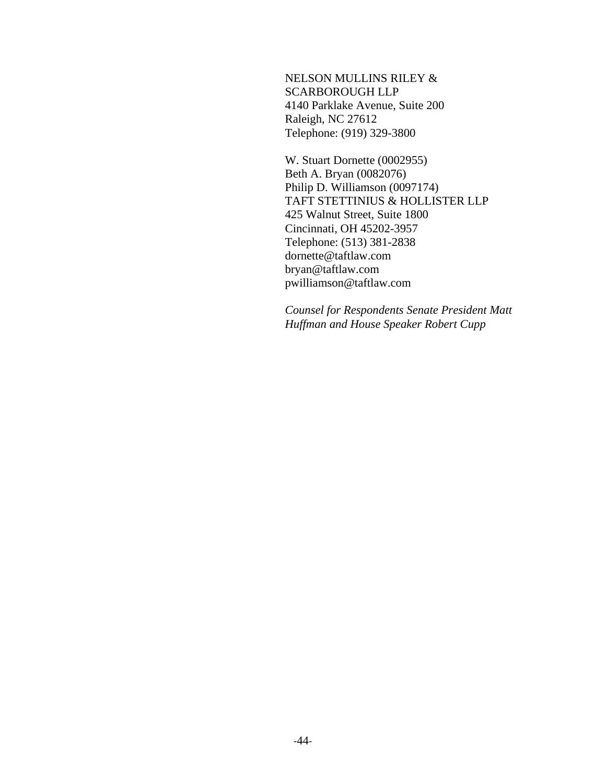NELSON MULLINS RILEY & SCARBOROUGH LLP 4140 Parklake Avenue, Suite 200 Raleigh, NC 27612 Telephone: (919) 329-3800

W. Stuart Dornette (0002955) Beth A. Bryan (0082076) Philip D. Williamson (0097174) TAFT STETTINIUS & HOLLISTER LLP 425 Walnut Street, Suite 1800 Cincinnati, OH 45202-3957 Telephone: (513) 381-2838 dornette@taftlaw.com bryan@taftlaw.com pwilliamson@taftlaw.com

*Counsel for Respondents Senate President Matt Huffman and House Speaker Robert Cupp*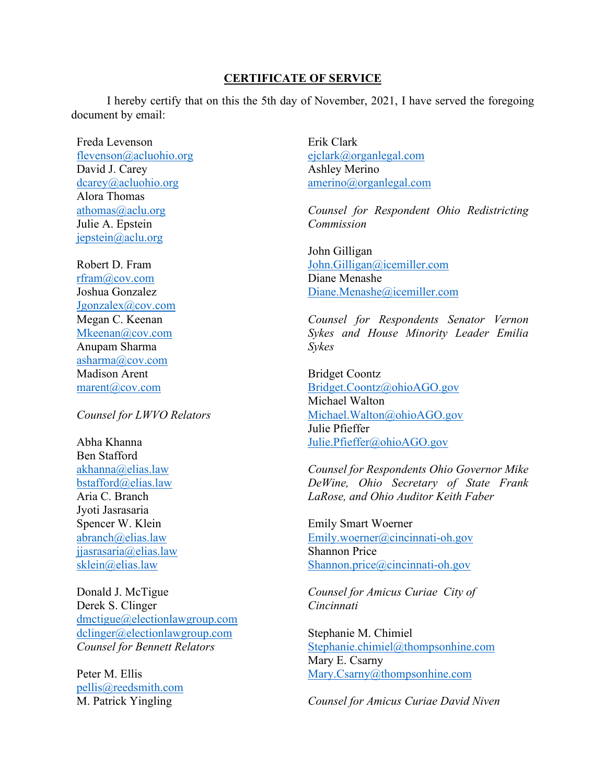## **CERTIFICATE OF SERVICE**

I hereby certify that on this the 5th day of November, 2021, I have served the foregoing document by email:

Freda Levenson [flevenson@acluohio.org](mailto:flevenson@acluohio.org)  David J. Carey [dcarey@acluohio.org](mailto:dcarey@acluohio.org) Alora Thomas [athomas@aclu.org](mailto:athomas@aclu.org) Julie A. Epstein [jepstein@aclu.org](mailto:jepstein@aclu.org)

Robert D. Fram [rfram@cov.com](mailto:rfram@cov.com) Joshua Gonzalez [Jgonzalex@cov.com](mailto:Jgonzalex@cov.com) Megan C. Keenan [Mkeenan@cov.com](mailto:Mkeenan@cov.com) Anupam Sharma [asharma@cov.com](mailto:asharma@cov.com) Madison Arent [marent@cov.com](mailto:marent@cov.com)

*Counsel for LWVO Relators* 

Abha Khanna Ben Stafford [akhanna@elias.law](mailto:akhanna@elias.law)  [bstafford@elias.law](mailto:bstafford@elias.law)  Aria C. Branch Jyoti Jasrasaria Spencer W. Klein [abranch@elias.law](mailto:abranch@elias.law)  [jjasrasaria@elias.law](mailto:jjasrasaria@elias.law)  sklein@elias.law

Donald J. McTigue Derek S. Clinger [dmctigue@electionlawgroup.com](mailto:dmctigue@electionlawgroup.com)  [dclinger@electionlawgroup.com](mailto:dclinger@electionlawgroup.com)  *Counsel for Bennett Relators* 

Peter M. Ellis [pellis@reedsmith.com](mailto:pellis@reedsmith.com) M. Patrick Yingling

Erik Clark [ejclark@organlegal.com](mailto:ejclark@organlegal.com) Ashley Merino [amerino@organlegal.com](mailto:amerino@organlegal.com) 

*Counsel for Respondent Ohio Redistricting Commission* 

John Gilligan [John.Gilligan@icemiller.com](mailto:John.Gilligan@icemiller.com) Diane Menashe [Diane.Menashe@icemiller.com](mailto:Diane.Menashe@icemiller.com) 

*Counsel for Respondents Senator Vernon Sykes and House Minority Leader Emilia Sykes* 

Bridget Coontz [Bridget.Coontz@ohioAGO.gov](mailto:Bridget.Coontz@ohioAGO.gov) Michael Walton [Michael.Walton@ohioAGO.gov](mailto:Michael.Walton@ohioAGO.gov)  Julie Pfieffer [Julie.Pfieffer@ohioAGO.gov](mailto:Julie.Pfieffer@ohioAGO.gov)

*Counsel for Respondents Ohio Governor Mike DeWine, Ohio Secretary of State Frank LaRose, and Ohio Auditor Keith Faber* 

Emily Smart Woerner [Emily.woerner@cincinnati-oh.gov](mailto:Emily.woerner@cincinnati-oh.gov)  Shannon Price [Shannon.price@cincinnati-oh.gov](mailto:Shannon.price@cincinnati-oh.gov)

*Counsel for Amicus Curiae City of Cincinnati* 

Stephanie M. Chimiel [Stephanie.chimiel@thompsonhine.com](mailto:Stephanie.chimiel@thompsonhine.com)  Mary E. Csarny [Mary.Csarny@thompsonhine.com](mailto:Mary.Csarny@thompsonhine.com)

*Counsel for Amicus Curiae David Niven*